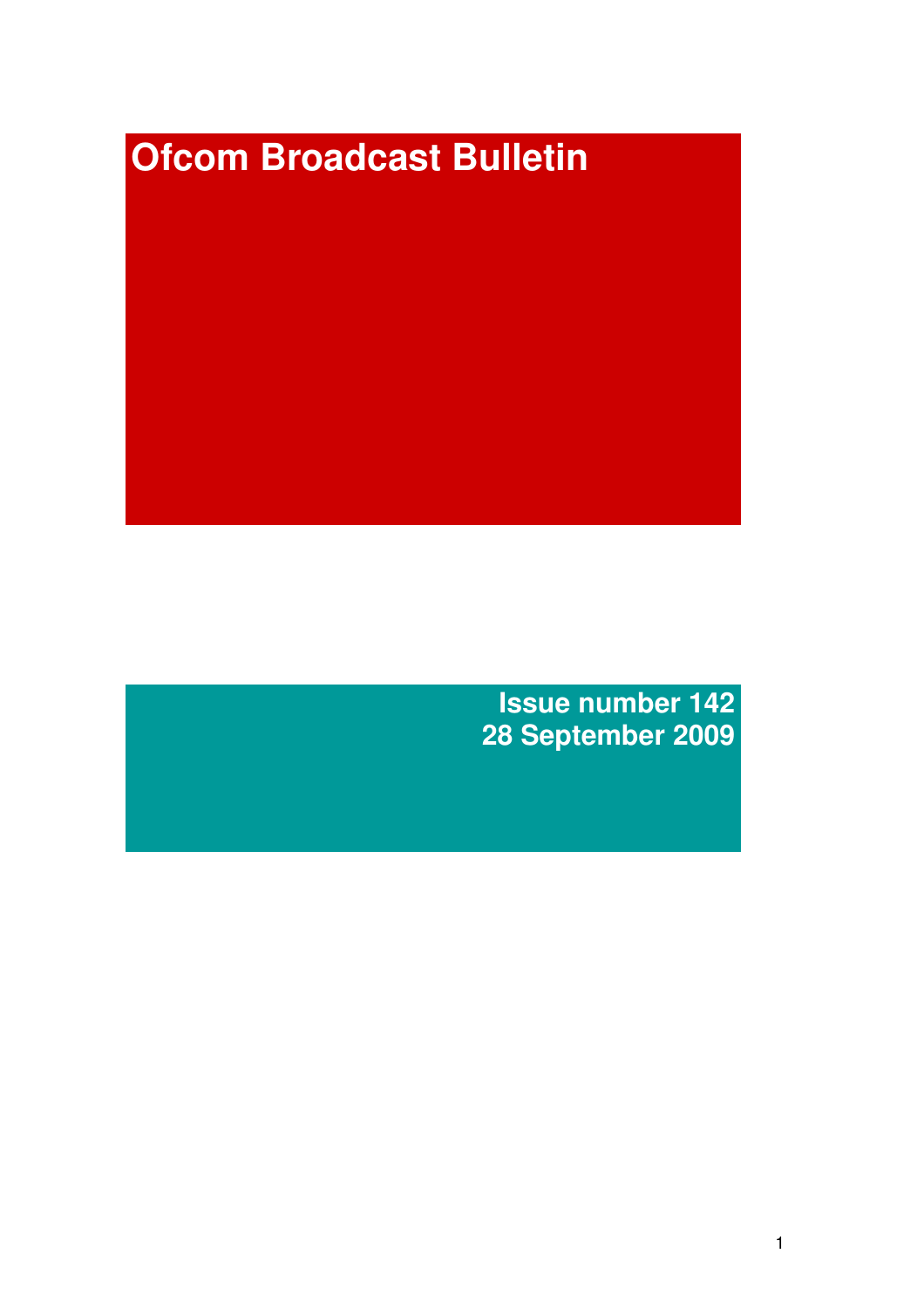# **Ofcom Broadcast Bulletin**

**Issue number 142 28 September 2009**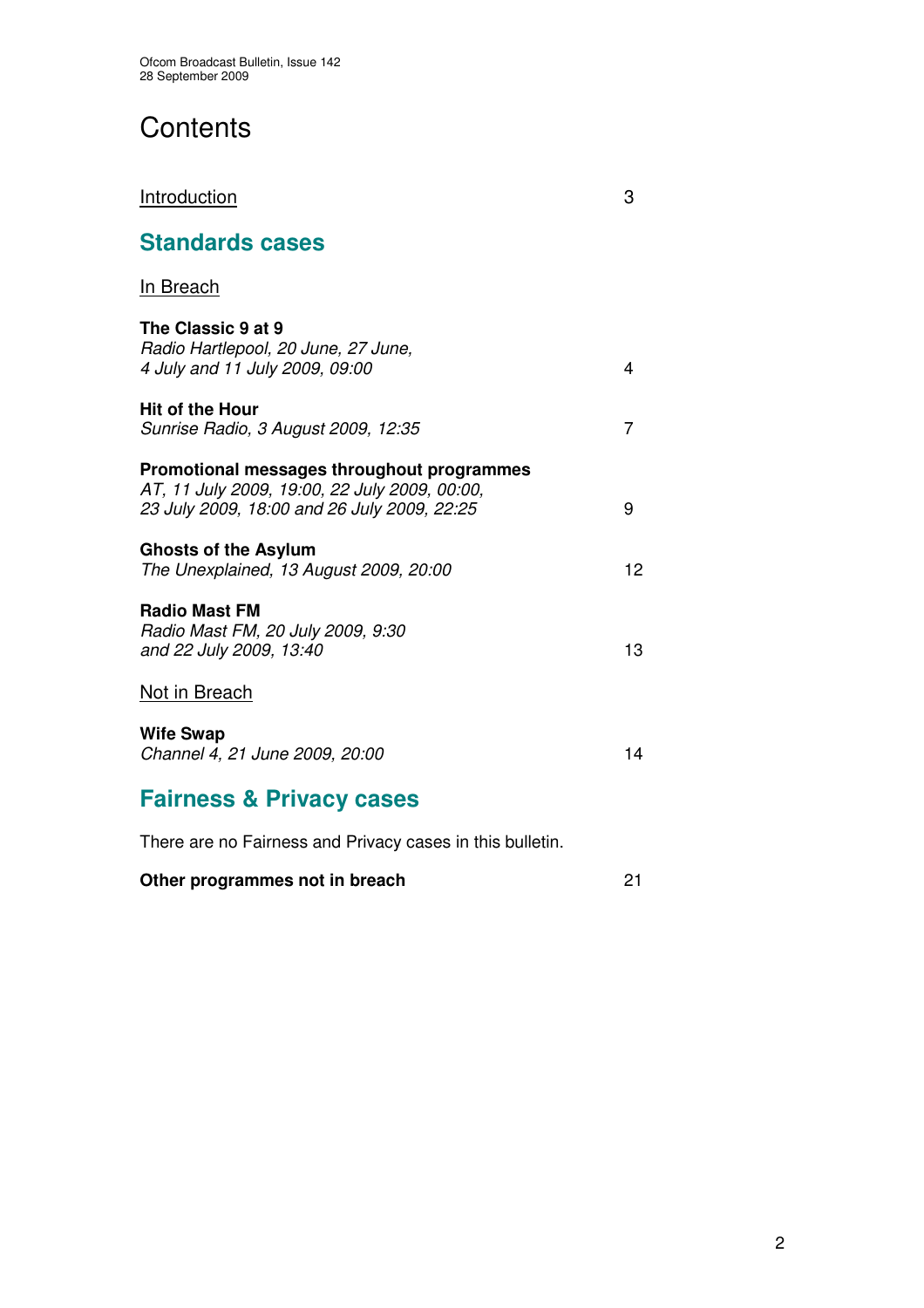# **Contents**

| <b>Introduction</b>                                                                                                                        | 3  |
|--------------------------------------------------------------------------------------------------------------------------------------------|----|
| <b>Standards cases</b>                                                                                                                     |    |
| In Breach                                                                                                                                  |    |
| The Classic 9 at 9<br>Radio Hartlepool, 20 June, 27 June,<br>4 July and 11 July 2009, 09:00                                                | 4  |
| <b>Hit of the Hour</b><br>Sunrise Radio, 3 August 2009, 12:35                                                                              | 7  |
| Promotional messages throughout programmes<br>AT, 11 July 2009, 19:00, 22 July 2009, 00:00,<br>23 July 2009, 18:00 and 26 July 2009, 22:25 | 9  |
| <b>Ghosts of the Asylum</b><br>The Unexplained, 13 August 2009, 20:00                                                                      | 12 |
| <b>Radio Mast FM</b><br>Radio Mast FM, 20 July 2009, 9:30<br>and 22 July 2009, 13:40                                                       | 13 |
| Not in Breach                                                                                                                              |    |
| <b>Wife Swap</b><br>Channel 4, 21 June 2009, 20:00                                                                                         | 14 |
| Fairnace & Privacy cases                                                                                                                   |    |

**Fairness & Privacy cases**

There are no Fairness and Privacy cases in this bulletin.

|  | Other programmes not in breach |  |
|--|--------------------------------|--|
|--|--------------------------------|--|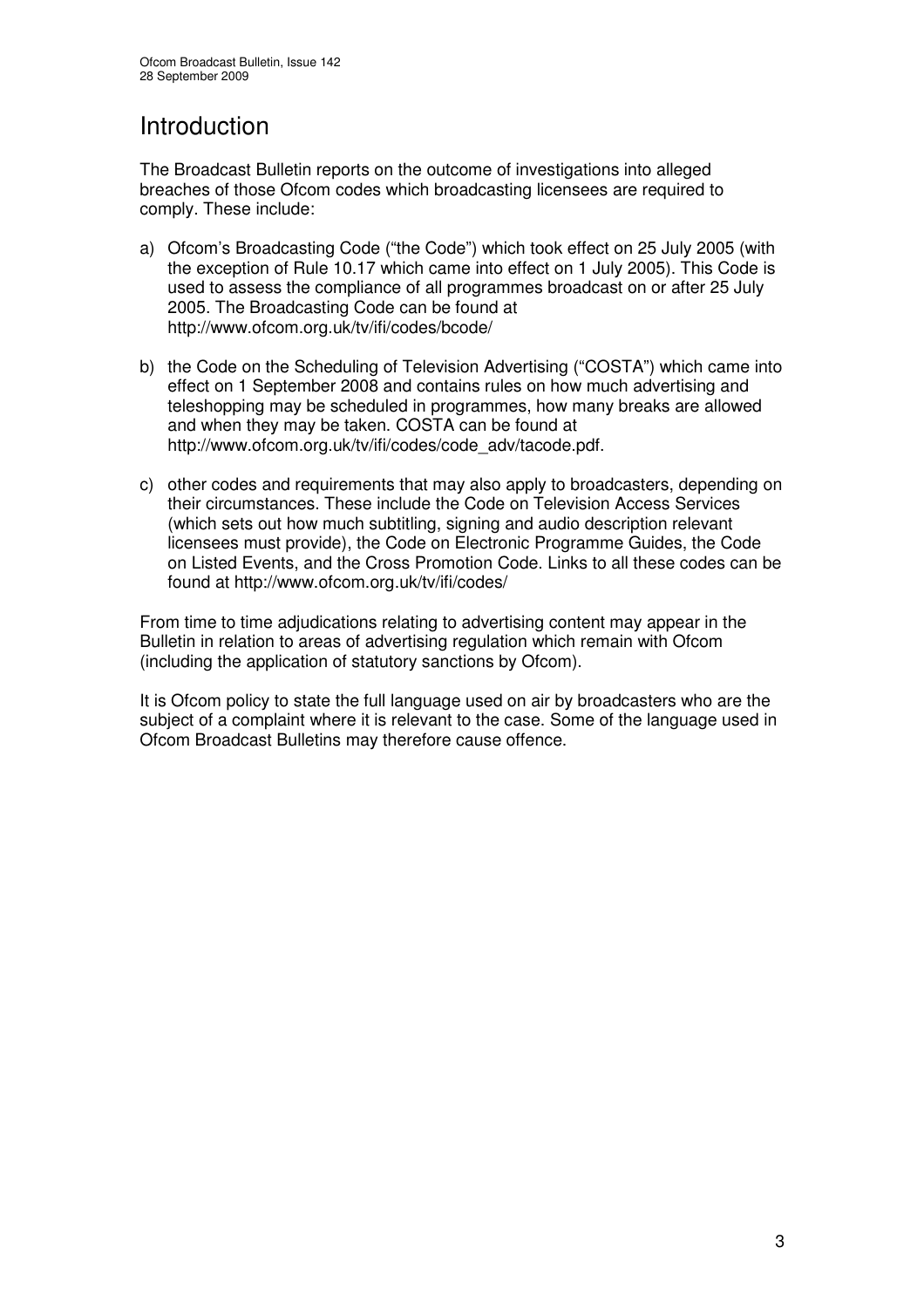## Introduction

The Broadcast Bulletin reports on the outcome of investigations into alleged breaches of those Ofcom codes which broadcasting licensees are required to comply. These include:

- a) Ofcom's Broadcasting Code ("the Code") which took effect on 25 July 2005 (with the exception of Rule 10.17 which came into effect on 1 July 2005). This Code is used to assess the compliance of all programmes broadcast on or after 25 July 2005. The Broadcasting Code can be found at http://www.ofcom.org.uk/tv/ifi/codes/bcode/
- b) the Code on the Scheduling of Television Advertising ("COSTA") which came into effect on 1 September 2008 and contains rules on how much advertising and teleshopping may be scheduled in programmes, how many breaks are allowed and when they may be taken. COSTA can be found at http://www.ofcom.org.uk/tv/ifi/codes/code\_adv/tacode.pdf.
- c) other codes and requirements that may also apply to broadcasters, depending on their circumstances. These include the Code on Television Access Services (which sets out how much subtitling, signing and audio description relevant licensees must provide), the Code on Electronic Programme Guides, the Code on Listed Events, and the Cross Promotion Code. Links to all these codes can be found at http://www.ofcom.org.uk/tv/ifi/codes/

From time to time adjudications relating to advertising content may appear in the Bulletin in relation to areas of advertising regulation which remain with Ofcom (including the application of statutory sanctions by Ofcom).

It is Ofcom policy to state the full language used on air by broadcasters who are the subject of a complaint where it is relevant to the case. Some of the language used in Ofcom Broadcast Bulletins may therefore cause offence.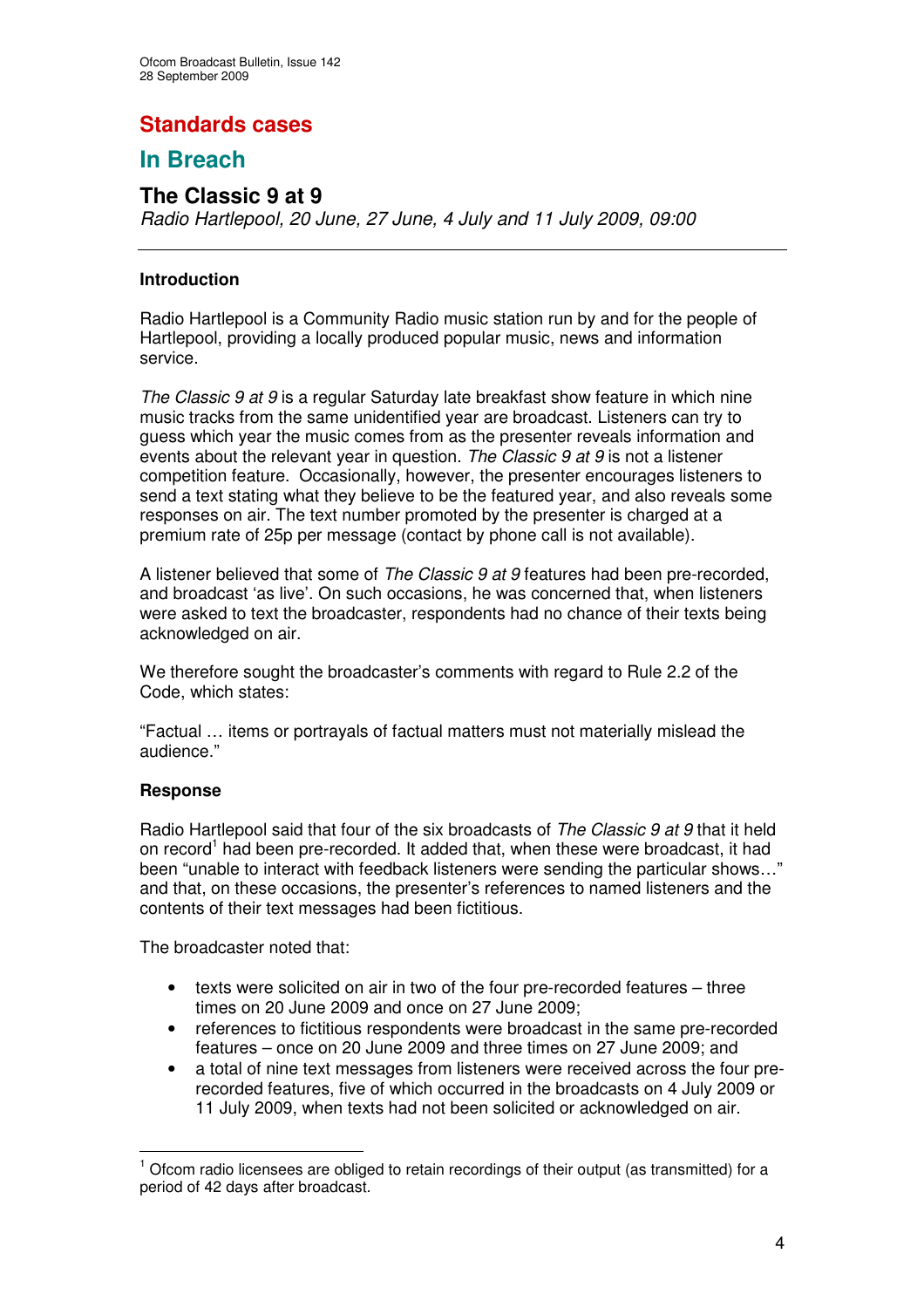## **Standards cases**

## **In Breach**

## **The Classic 9 at 9**

*Radio Hartlepool, 20 June, 27 June, 4 July and 11 July 2009, 09:00*

#### **Introduction**

Radio Hartlepool is a Community Radio music station run by and for the people of Hartlepool, providing a locally produced popular music, news and information service.

*The Classic 9 at 9* is a regular Saturday late breakfast show feature in which nine music tracks from the same unidentified year are broadcast. Listeners can try to guess which year the music comes from as the presenter reveals information and events about the relevant year in question. *The Classic 9 at 9* is not a listener competition feature. Occasionally, however, the presenter encourages listeners to send a text stating what they believe to be the featured year, and also reveals some responses on air. The text number promoted by the presenter is charged at a premium rate of 25p per message (contact by phone call is not available).

A listener believed that some of *The Classic 9 at 9* features had been pre-recorded, and broadcast 'as live'. On such occasions, he was concerned that, when listeners were asked to text the broadcaster, respondents had no chance of their texts being acknowledged on air.

We therefore sought the broadcaster's comments with regard to Rule 2.2 of the Code, which states:

"Factual … items or portrayals of factual matters must not materially mislead the audience."

#### **Response**

Radio Hartlepool said that four of the six broadcasts of *The Classic 9 at 9* that it held on record<sup>1</sup> had been pre-recorded. It added that, when these were broadcast, it had been "unable to interact with feedback listeners were sending the particular shows…" and that, on these occasions, the presenter's references to named listeners and the contents of their text messages had been fictitious.

The broadcaster noted that:

- texts were solicited on air in two of the four pre-recorded features three times on 20 June 2009 and once on 27 June 2009;
- references to fictitious respondents were broadcast in the same pre-recorded features – once on 20 June 2009 and three times on 27 June 2009; and
- a total of nine text messages from listeners were received across the four prerecorded features, five of which occurred in the broadcasts on 4 July 2009 or 11 July 2009, when texts had not been solicited or acknowledged on air.

 $<sup>1</sup>$  Ofcom radio licensees are obliged to retain recordings of their output (as transmitted) for a</sup> period of 42 days after broadcast.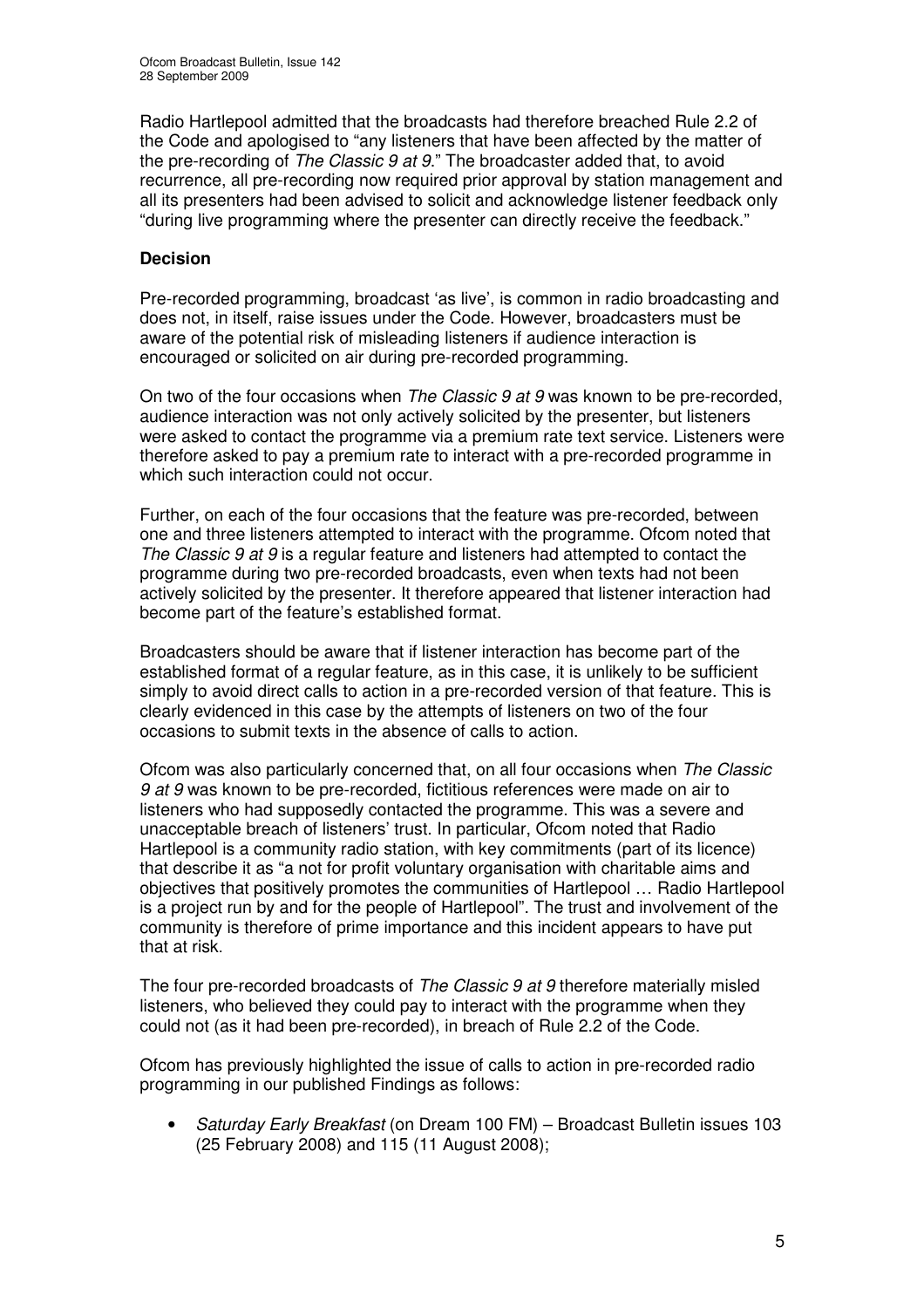Radio Hartlepool admitted that the broadcasts had therefore breached Rule 2.2 of the Code and apologised to "any listeners that have been affected by the matter of the pre-recording of *The Classic 9 at 9*." The broadcaster added that, to avoid recurrence, all pre-recording now required prior approval by station management and all its presenters had been advised to solicit and acknowledge listener feedback only "during live programming where the presenter can directly receive the feedback."

#### **Decision**

Pre-recorded programming, broadcast 'as live', is common in radio broadcasting and does not, in itself, raise issues under the Code. However, broadcasters must be aware of the potential risk of misleading listeners if audience interaction is encouraged or solicited on air during pre-recorded programming.

On two of the four occasions when *The Classic 9 at 9* was known to be pre-recorded, audience interaction was not only actively solicited by the presenter, but listeners were asked to contact the programme via a premium rate text service. Listeners were therefore asked to pay a premium rate to interact with a pre-recorded programme in which such interaction could not occur.

Further, on each of the four occasions that the feature was pre-recorded, between one and three listeners attempted to interact with the programme. Ofcom noted that *The Classic 9 at 9* is a regular feature and listeners had attempted to contact the programme during two pre-recorded broadcasts, even when texts had not been actively solicited by the presenter. It therefore appeared that listener interaction had become part of the feature's established format.

Broadcasters should be aware that if listener interaction has become part of the established format of a regular feature, as in this case, it is unlikely to be sufficient simply to avoid direct calls to action in a pre-recorded version of that feature. This is clearly evidenced in this case by the attempts of listeners on two of the four occasions to submit texts in the absence of calls to action.

Ofcom was also particularly concerned that, on all four occasions when *The Classic 9 at 9* was known to be pre-recorded, fictitious references were made on air to listeners who had supposedly contacted the programme. This was a severe and unacceptable breach of listeners' trust. In particular, Ofcom noted that Radio Hartlepool is a community radio station, with key commitments (part of its licence) that describe it as "a not for profit voluntary organisation with charitable aims and objectives that positively promotes the communities of Hartlepool … Radio Hartlepool is a project run by and for the people of Hartlepool". The trust and involvement of the community is therefore of prime importance and this incident appears to have put that at risk.

The four pre-recorded broadcasts of *The Classic 9 at 9* therefore materially misled listeners, who believed they could pay to interact with the programme when they could not (as it had been pre-recorded), in breach of Rule 2.2 of the Code.

Ofcom has previously highlighted the issue of calls to action in pre-recorded radio programming in our published Findings as follows:

• *Saturday Early Breakfast* (on Dream 100 FM) – Broadcast Bulletin issues 103 (25 February 2008) and 115 (11 August 2008);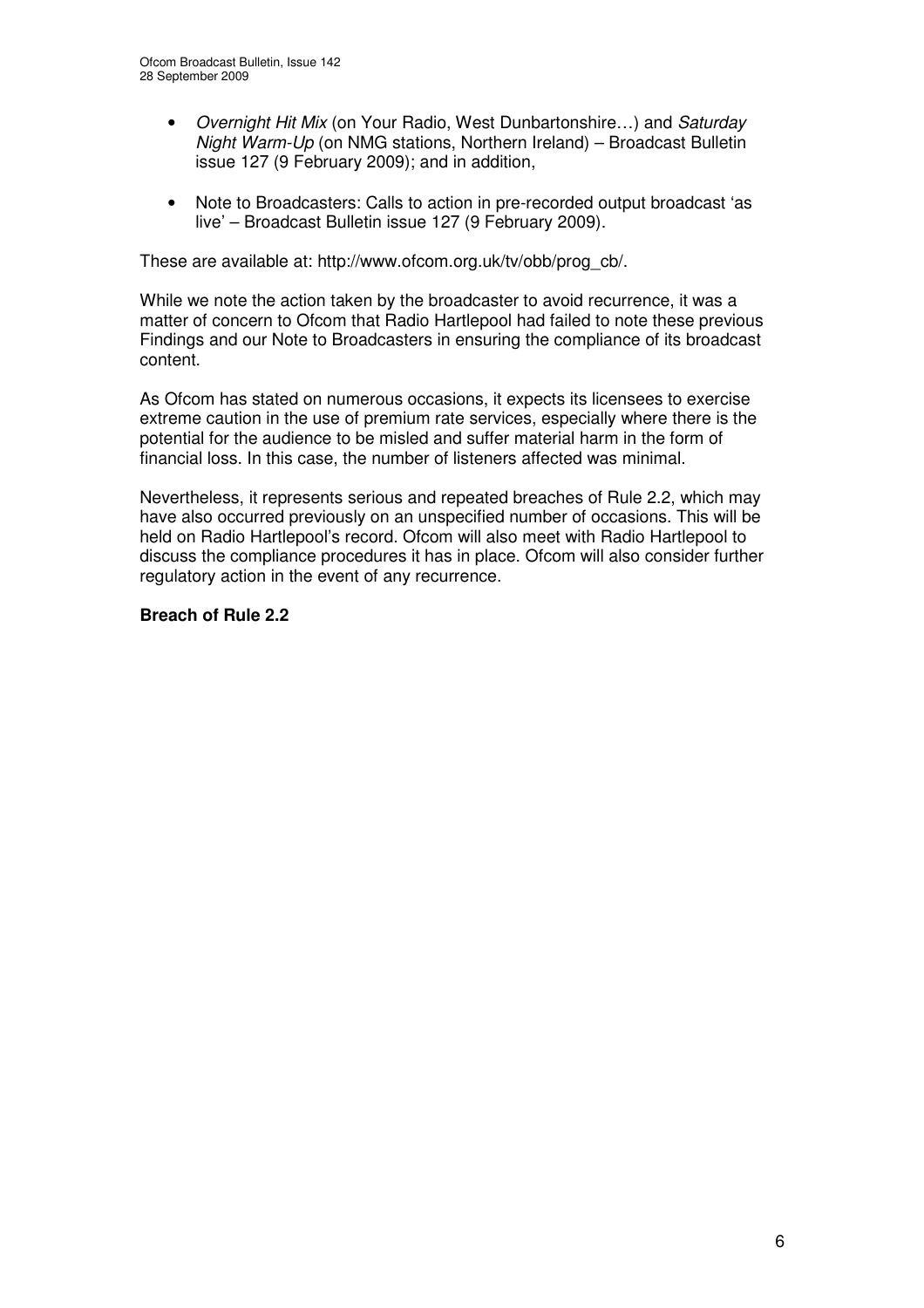- *Overnight Hit Mix* (on Your Radio, West Dunbartonshire…) and *Saturday Night Warm-Up* (on NMG stations, Northern Ireland) – Broadcast Bulletin issue 127 (9 February 2009); and in addition,
- Note to Broadcasters: Calls to action in pre-recorded output broadcast 'as live' – Broadcast Bulletin issue 127 (9 February 2009).

These are available at: http://www.ofcom.org.uk/tv/obb/prog\_cb/.

While we note the action taken by the broadcaster to avoid recurrence, it was a matter of concern to Ofcom that Radio Hartlepool had failed to note these previous Findings and our Note to Broadcasters in ensuring the compliance of its broadcast content.

As Ofcom has stated on numerous occasions, it expects its licensees to exercise extreme caution in the use of premium rate services, especially where there is the potential for the audience to be misled and suffer material harm in the form of financial loss. In this case, the number of listeners affected was minimal.

Nevertheless, it represents serious and repeated breaches of Rule 2.2, which may have also occurred previously on an unspecified number of occasions. This will be held on Radio Hartlepool's record. Ofcom will also meet with Radio Hartlepool to discuss the compliance procedures it has in place. Ofcom will also consider further regulatory action in the event of any recurrence.

#### **Breach of Rule 2.2**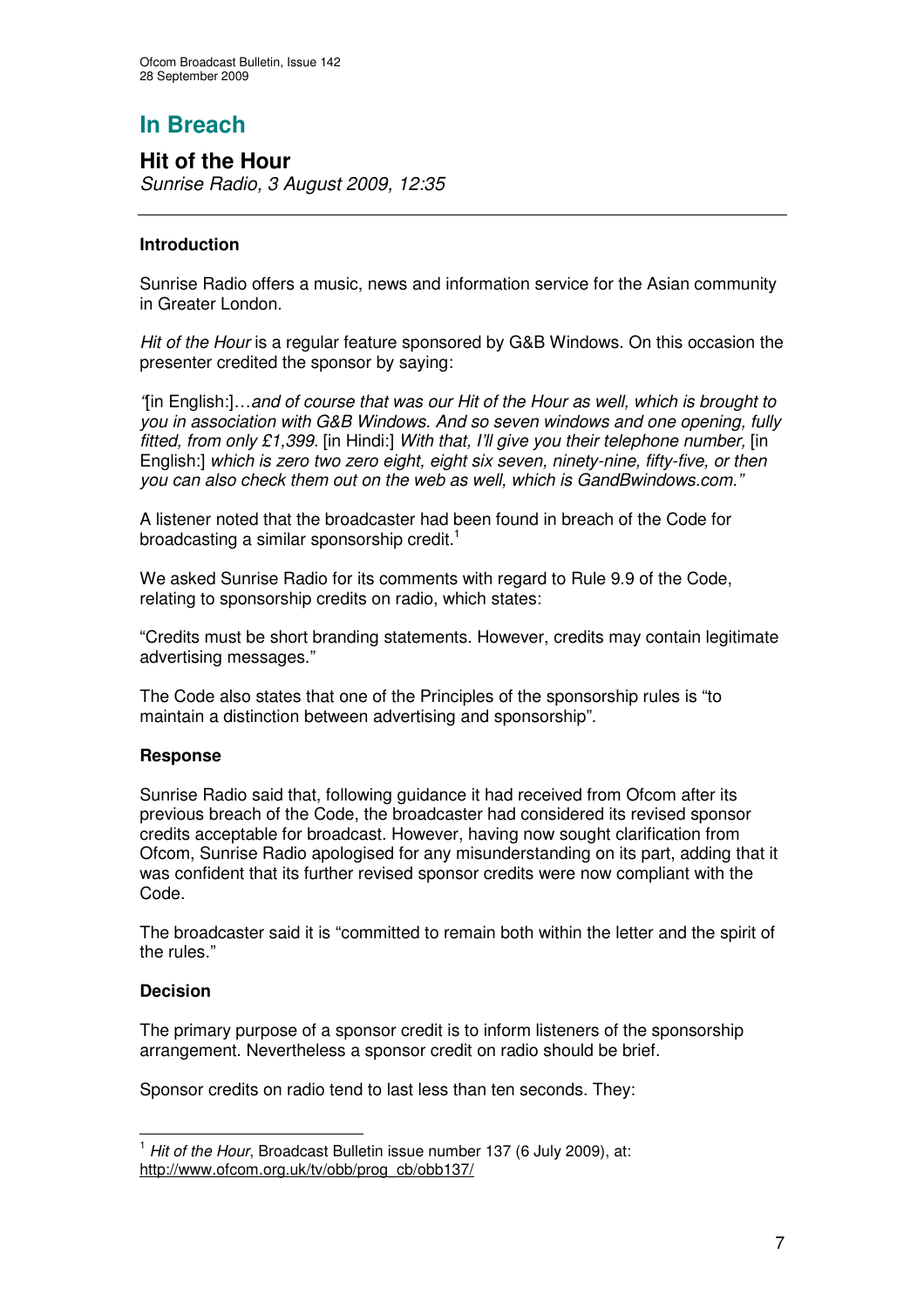# **In Breach**

## **Hit of the Hour**

*Sunrise Radio, 3 August 2009, 12:35*

#### **Introduction**

Sunrise Radio offers a music, news and information service for the Asian community in Greater London.

*Hit of the Hour* is a regular feature sponsored by G&B Windows. On this occasion the presenter credited the sponsor by saying:

*"*[in English:]…*and of course that was our Hit of the Hour as well, which is brought to you in association with G&B Windows. And so seven windows and one opening, fully fitted, from only £1,399.* [in Hindi:] *With that, I'll give you their telephone number,* [in English:] *which is zero two zero eight, eight six seven, ninety-nine, fifty-five, or then you can also check them out on the web as well, which is GandBwindows.com."*

A listener noted that the broadcaster had been found in breach of the Code for broadcasting a similar sponsorship credit.<sup>1</sup>

We asked Sunrise Radio for its comments with regard to Rule 9.9 of the Code, relating to sponsorship credits on radio, which states:

"Credits must be short branding statements. However, credits may contain legitimate advertising messages."

The Code also states that one of the Principles of the sponsorship rules is "to maintain a distinction between advertising and sponsorship".

#### **Response**

Sunrise Radio said that, following guidance it had received from Ofcom after its previous breach of the Code, the broadcaster had considered its revised sponsor credits acceptable for broadcast. However, having now sought clarification from Ofcom, Sunrise Radio apologised for any misunderstanding on its part, adding that it was confident that its further revised sponsor credits were now compliant with the Code.

The broadcaster said it is "committed to remain both within the letter and the spirit of the rules."

#### **Decision**

The primary purpose of a sponsor credit is to inform listeners of the sponsorship arrangement. Nevertheless a sponsor credit on radio should be brief.

Sponsor credits on radio tend to last less than ten seconds. They:

<sup>1</sup> *Hit of the Hour*, Broadcast Bulletin issue number 137 (6 July 2009), at: http://www.ofcom.org.uk/tv/obb/prog\_cb/obb137/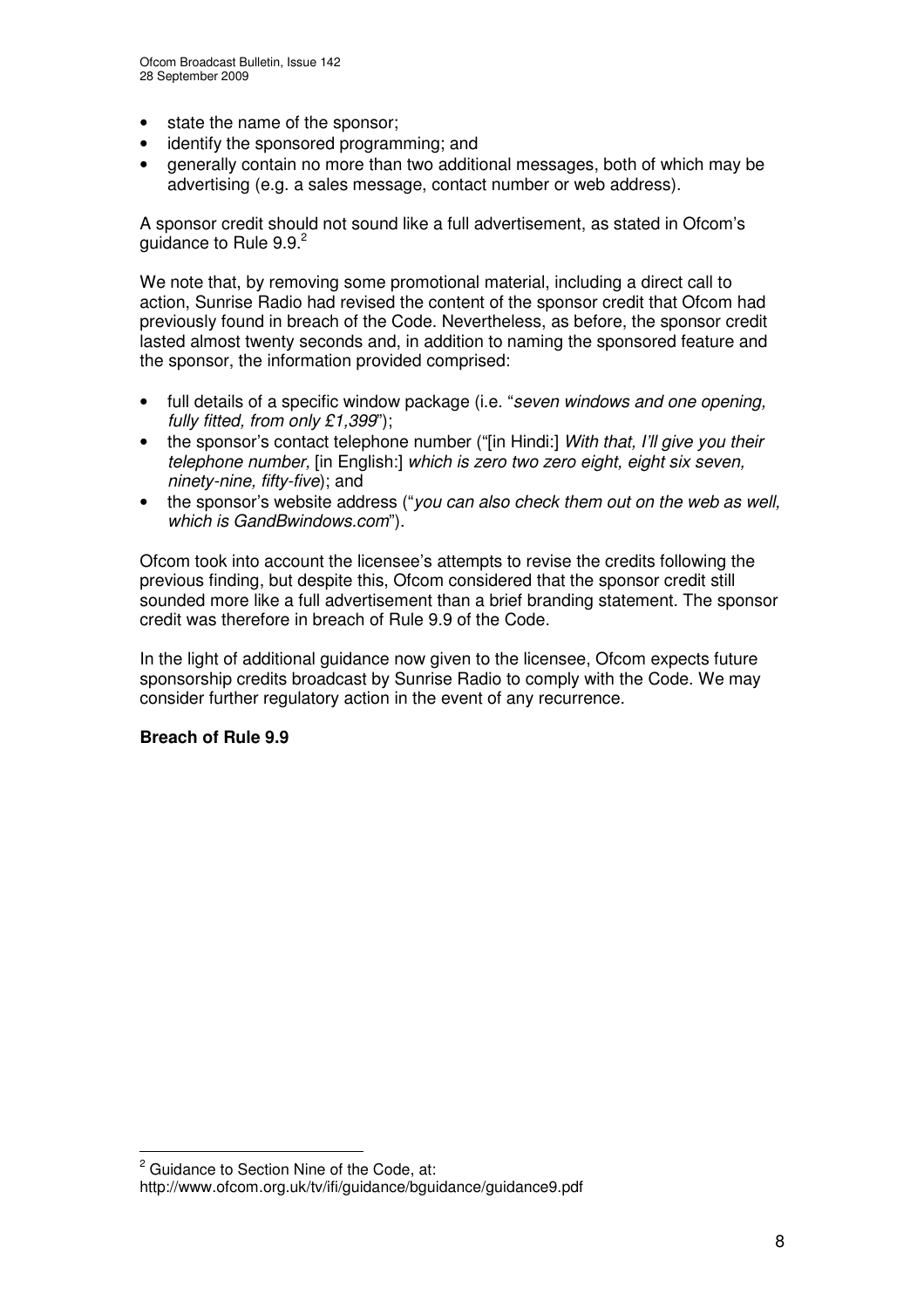- state the name of the sponsor;
- identify the sponsored programming; and
- generally contain no more than two additional messages, both of which may be advertising (e.g. a sales message, contact number or web address).

A sponsor credit should not sound like a full advertisement, as stated in Ofcom's guidance to Rule 9.9.<sup>2</sup>

We note that, by removing some promotional material, including a direct call to action, Sunrise Radio had revised the content of the sponsor credit that Ofcom had previously found in breach of the Code. Nevertheless, as before, the sponsor credit lasted almost twenty seconds and, in addition to naming the sponsored feature and the sponsor, the information provided comprised:

- full details of a specific window package (i.e. "*seven windows and one opening, fully fitted, from only £1,399*");
- the sponsor's contact telephone number ("[in Hindi:] *With that, I'll give you their telephone number,* [in English:] *which is zero two zero eight, eight six seven, ninety-nine, fifty-five*); and
- the sponsor's website address ("*you can also check them out on the web as well, which is GandBwindows.com*").

Ofcom took into account the licensee's attempts to revise the credits following the previous finding, but despite this, Ofcom considered that the sponsor credit still sounded more like a full advertisement than a brief branding statement. The sponsor credit was therefore in breach of Rule 9.9 of the Code.

In the light of additional guidance now given to the licensee, Ofcom expects future sponsorship credits broadcast by Sunrise Radio to comply with the Code. We may consider further regulatory action in the event of any recurrence.

#### **Breach of Rule 9.9**

<sup>&</sup>lt;sup>2</sup> Guidance to Section Nine of the Code, at:

http://www.ofcom.org.uk/tv/ifi/guidance/bguidance/guidance9.pdf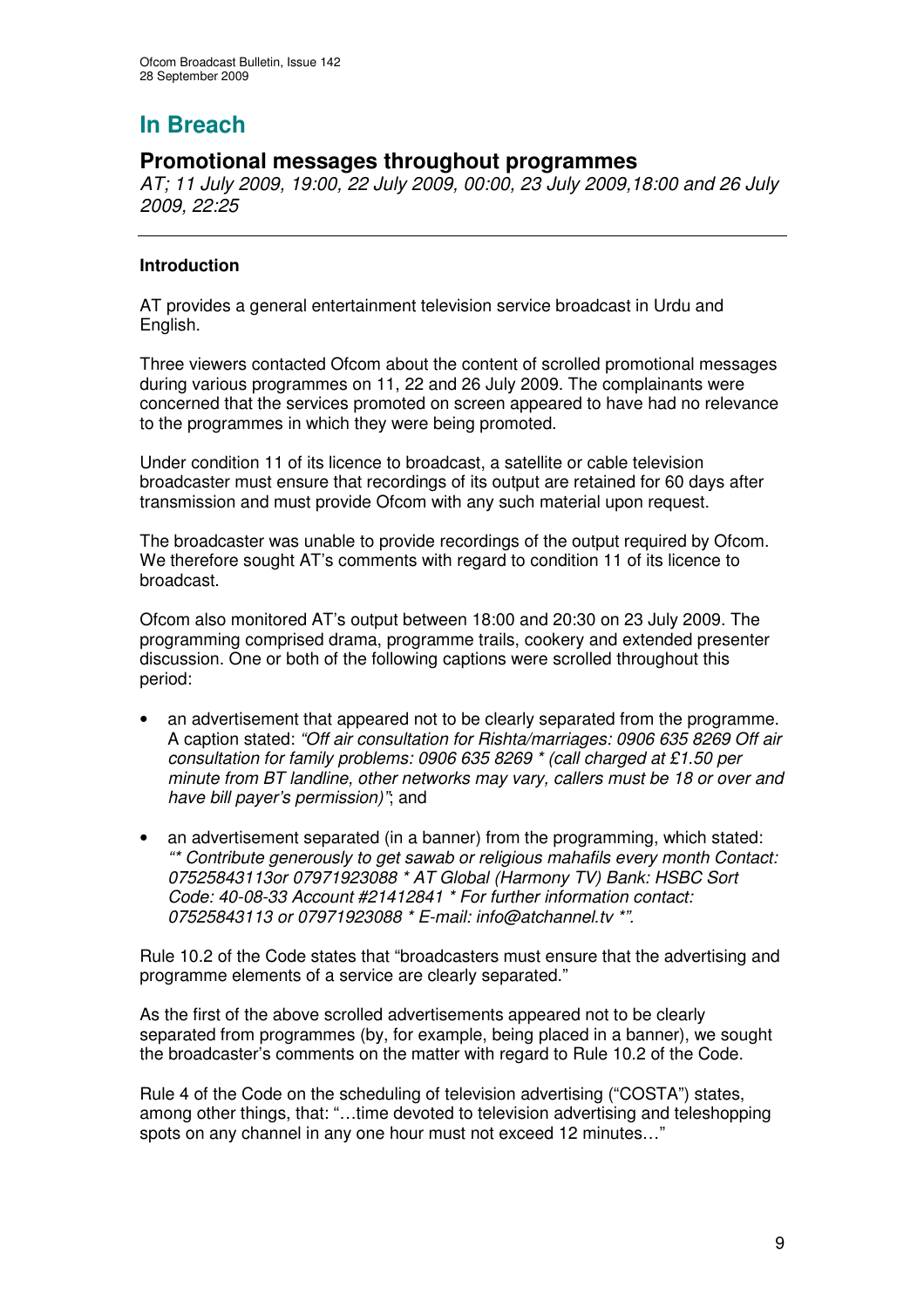# **In Breach**

## **Promotional messages throughout programmes**

*AT; 11 July 2009, 19:00, 22 July 2009, 00:00, 23 July 2009,18:00 and 26 July 2009, 22:25*

#### **Introduction**

AT provides a general entertainment television service broadcast in Urdu and English.

Three viewers contacted Ofcom about the content of scrolled promotional messages during various programmes on 11, 22 and 26 July 2009. The complainants were concerned that the services promoted on screen appeared to have had no relevance to the programmes in which they were being promoted.

Under condition 11 of its licence to broadcast, a satellite or cable television broadcaster must ensure that recordings of its output are retained for 60 days after transmission and must provide Ofcom with any such material upon request.

The broadcaster was unable to provide recordings of the output required by Ofcom. We therefore sought AT's comments with regard to condition 11 of its licence to broadcast.

Ofcom also monitored AT's output between 18:00 and 20:30 on 23 July 2009. The programming comprised drama, programme trails, cookery and extended presenter discussion. One or both of the following captions were scrolled throughout this period:

- an advertisement that appeared not to be clearly separated from the programme. A caption stated: *"Off air consultation for Rishta/marriages: 0906 635 8269 Off air consultation for family problems: 0906 635 8269 \* (call charged at £1.50 per minute from BT landline, other networks may vary, callers must be 18 or over and have bill payer's permission)"*; and
- an advertisement separated (in a banner) from the programming, which stated: *"\* Contribute generously to get sawab or religious mahafils every month Contact: 07525843113or 07971923088 \* AT Global (Harmony TV) Bank: HSBC Sort Code: 40-08-33 Account #21412841 \* For further information contact: 07525843113 or 07971923088 \* E-mail: info@atchannel.tv \*".*

Rule 10.2 of the Code states that "broadcasters must ensure that the advertising and programme elements of a service are clearly separated."

As the first of the above scrolled advertisements appeared not to be clearly separated from programmes (by, for example, being placed in a banner), we sought the broadcaster's comments on the matter with regard to Rule 10.2 of the Code.

Rule 4 of the Code on the scheduling of television advertising ("COSTA") states, among other things, that: "…time devoted to television advertising and teleshopping spots on any channel in any one hour must not exceed 12 minutes…"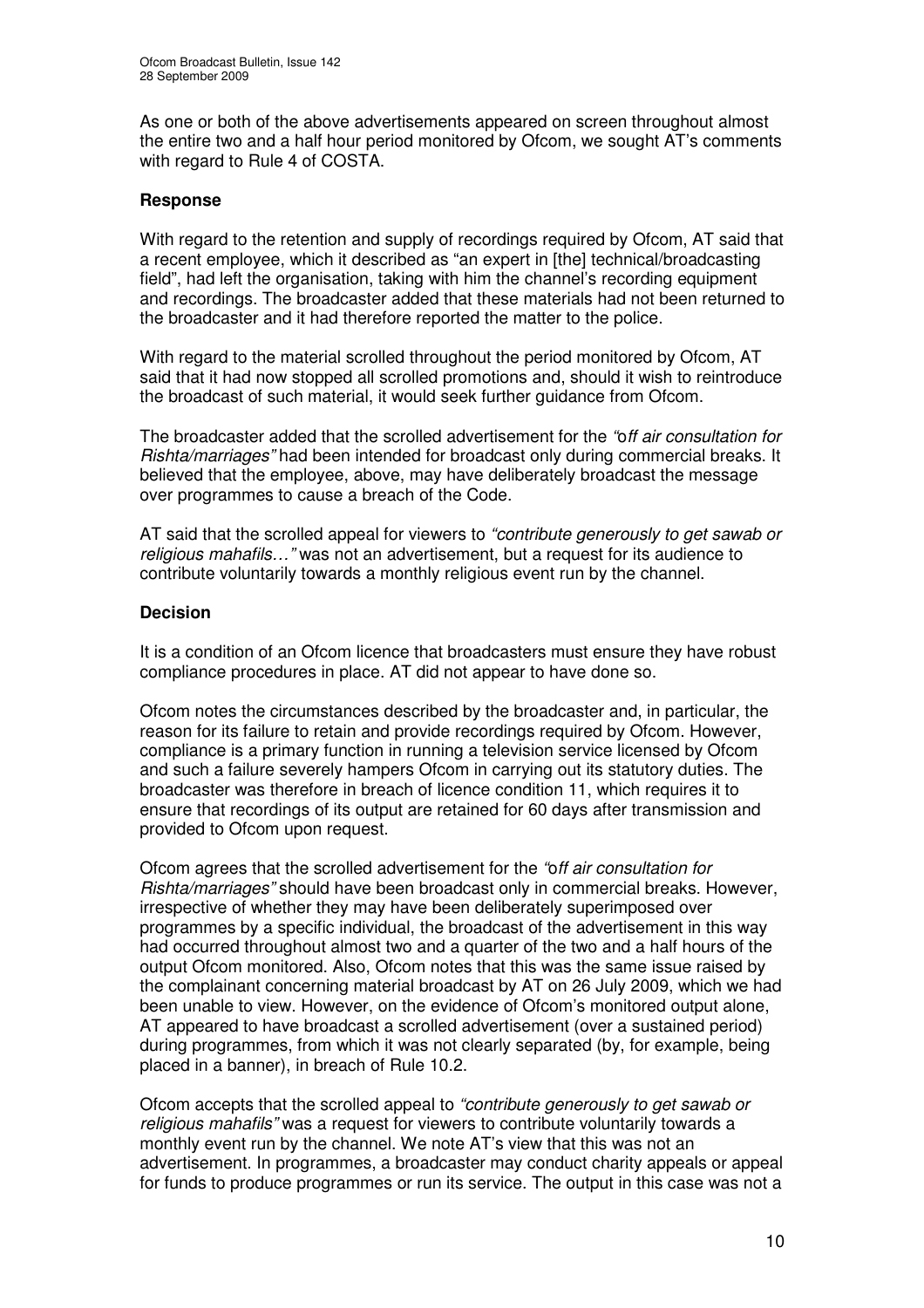As one or both of the above advertisements appeared on screen throughout almost the entire two and a half hour period monitored by Ofcom, we sought AT's comments with regard to Rule 4 of COSTA.

#### **Response**

With regard to the retention and supply of recordings required by Ofcom, AT said that a recent employee, which it described as "an expert in [the] technical/broadcasting field", had left the organisation, taking with him the channel's recording equipment and recordings. The broadcaster added that these materials had not been returned to the broadcaster and it had therefore reported the matter to the police.

With regard to the material scrolled throughout the period monitored by Ofcom, AT said that it had now stopped all scrolled promotions and, should it wish to reintroduce the broadcast of such material, it would seek further guidance from Ofcom.

The broadcaster added that the scrolled advertisement for the *"*o*ff air consultation for Rishta/marriages"* had been intended for broadcast only during commercial breaks. It believed that the employee, above, may have deliberately broadcast the message over programmes to cause a breach of the Code.

AT said that the scrolled appeal for viewers to *"contribute generously to get sawab or religious mahafils…"* was not an advertisement, but a request for its audience to contribute voluntarily towards a monthly religious event run by the channel.

#### **Decision**

It is a condition of an Ofcom licence that broadcasters must ensure they have robust compliance procedures in place. AT did not appear to have done so.

Ofcom notes the circumstances described by the broadcaster and, in particular, the reason for its failure to retain and provide recordings required by Ofcom. However, compliance is a primary function in running a television service licensed by Ofcom and such a failure severely hampers Ofcom in carrying out its statutory duties. The broadcaster was therefore in breach of licence condition 11, which requires it to ensure that recordings of its output are retained for 60 days after transmission and provided to Ofcom upon request.

Ofcom agrees that the scrolled advertisement for the *"*o*ff air consultation for Rishta/marriages"* should have been broadcast only in commercial breaks. However, irrespective of whether they may have been deliberately superimposed over programmes by a specific individual, the broadcast of the advertisement in this way had occurred throughout almost two and a quarter of the two and a half hours of the output Ofcom monitored. Also, Ofcom notes that this was the same issue raised by the complainant concerning material broadcast by AT on 26 July 2009, which we had been unable to view. However, on the evidence of Ofcom's monitored output alone, AT appeared to have broadcast a scrolled advertisement (over a sustained period) during programmes, from which it was not clearly separated (by, for example, being placed in a banner), in breach of Rule 10.2.

Ofcom accepts that the scrolled appeal to *"contribute generously to get sawab or religious mahafils"* was a request for viewers to contribute voluntarily towards a monthly event run by the channel. We note AT's view that this was not an advertisement. In programmes, a broadcaster may conduct charity appeals or appeal for funds to produce programmes or run its service. The output in this case was not a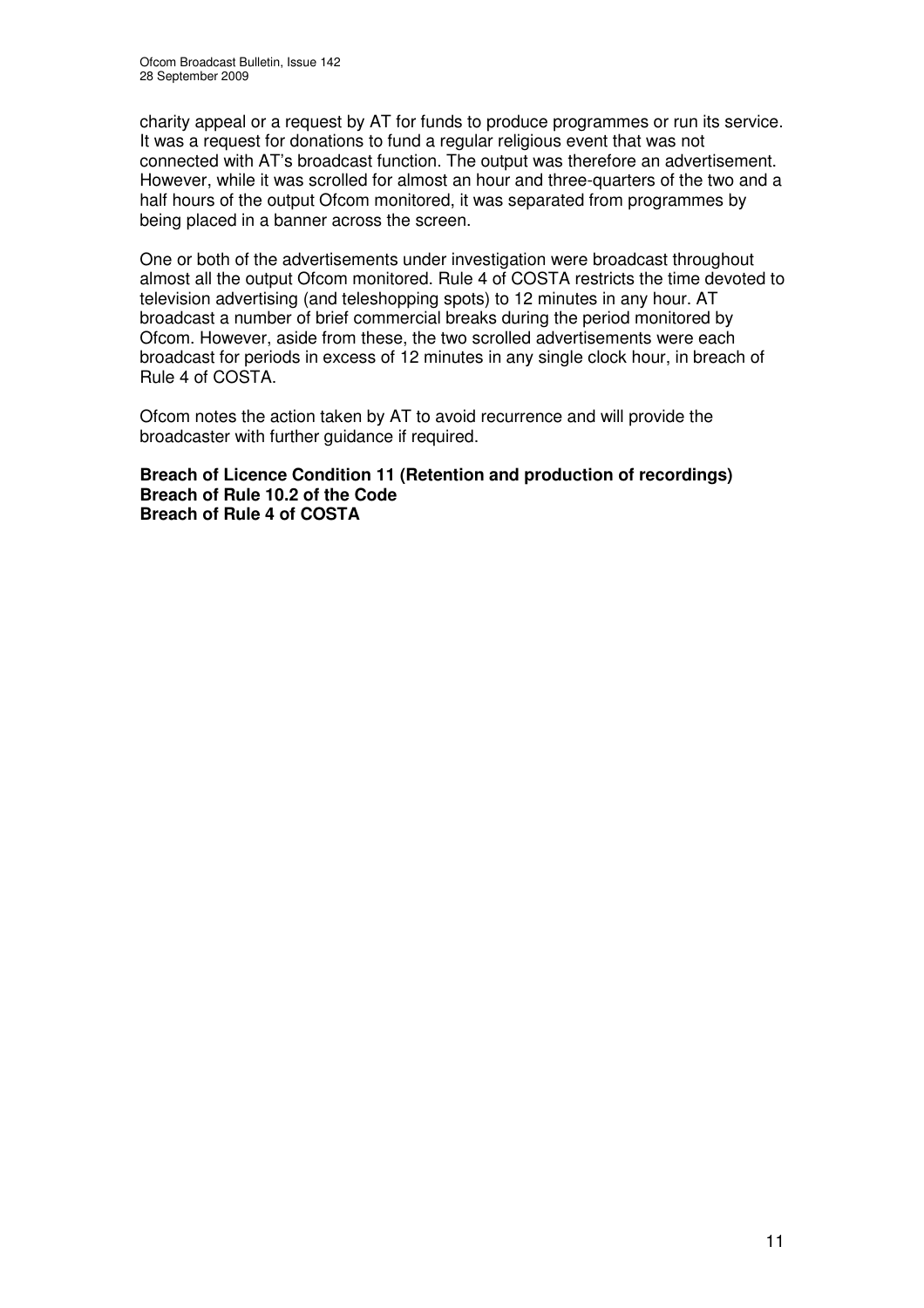charity appeal or a request by AT for funds to produce programmes or run its service. It was a request for donations to fund a regular religious event that was not connected with AT's broadcast function. The output was therefore an advertisement. However, while it was scrolled for almost an hour and three-quarters of the two and a half hours of the output Ofcom monitored, it was separated from programmes by being placed in a banner across the screen.

One or both of the advertisements under investigation were broadcast throughout almost all the output Ofcom monitored. Rule 4 of COSTA restricts the time devoted to television advertising (and teleshopping spots) to 12 minutes in any hour. AT broadcast a number of brief commercial breaks during the period monitored by Ofcom. However, aside from these, the two scrolled advertisements were each broadcast for periods in excess of 12 minutes in any single clock hour, in breach of Rule 4 of COSTA.

Ofcom notes the action taken by AT to avoid recurrence and will provide the broadcaster with further guidance if required.

**Breach of Licence Condition 11 (Retention and production of recordings) Breach of Rule 10.2 of the Code Breach of Rule 4 of COSTA**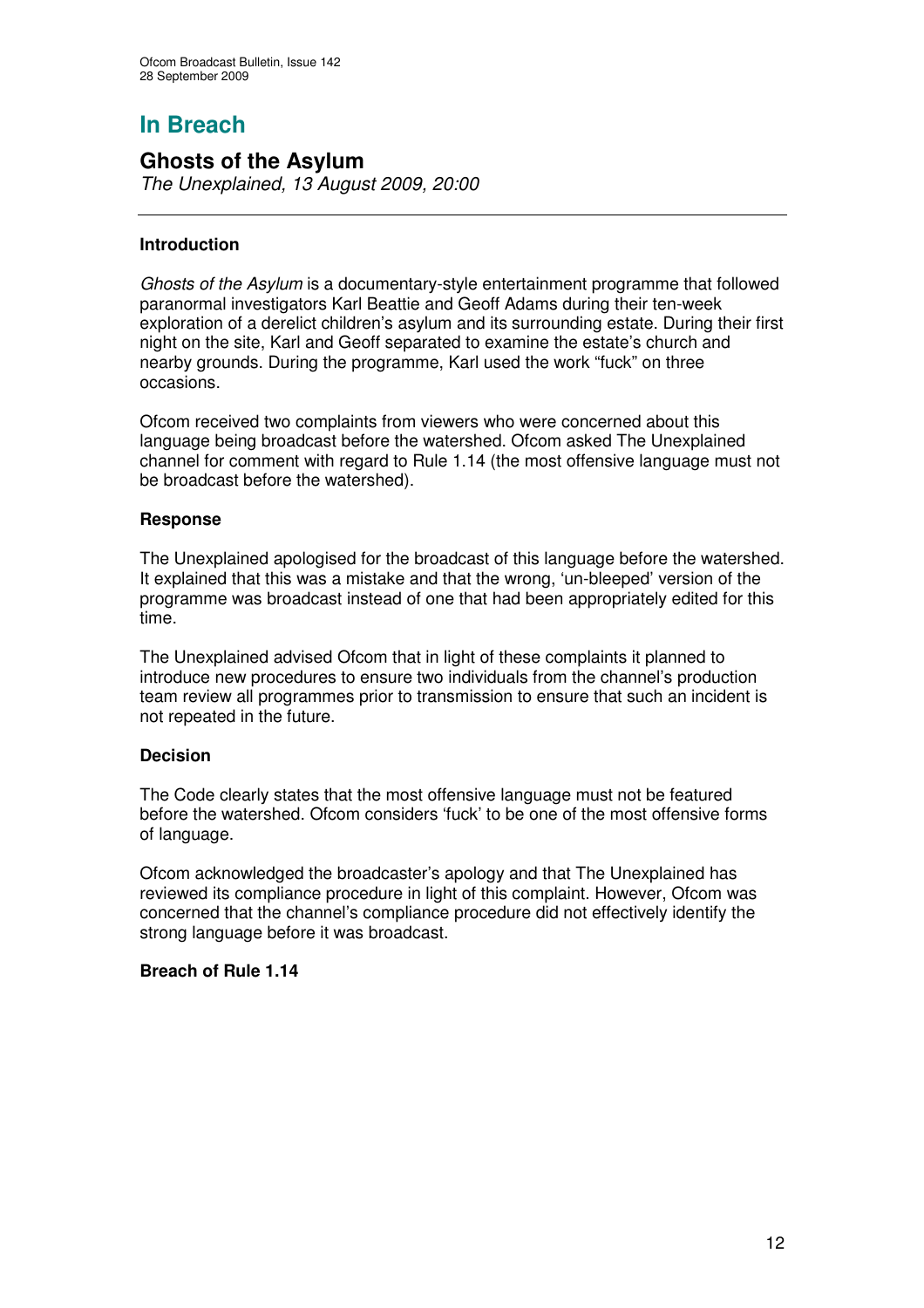# **In Breach**

## **Ghosts of the Asylum**

*The Unexplained, 13 August 2009, 20:00*

#### **Introduction**

*Ghosts of the Asylum* is a documentary-style entertainment programme that followed paranormal investigators Karl Beattie and Geoff Adams during their ten-week exploration of a derelict children's asylum and its surrounding estate. During their first night on the site, Karl and Geoff separated to examine the estate's church and nearby grounds. During the programme, Karl used the work "fuck" on three occasions.

Ofcom received two complaints from viewers who were concerned about this language being broadcast before the watershed. Ofcom asked The Unexplained channel for comment with regard to Rule 1.14 (the most offensive language must not be broadcast before the watershed).

#### **Response**

The Unexplained apologised for the broadcast of this language before the watershed. It explained that this was a mistake and that the wrong, 'un-bleeped' version of the programme was broadcast instead of one that had been appropriately edited for this time.

The Unexplained advised Ofcom that in light of these complaints it planned to introduce new procedures to ensure two individuals from the channel's production team review all programmes prior to transmission to ensure that such an incident is not repeated in the future.

#### **Decision**

The Code clearly states that the most offensive language must not be featured before the watershed. Ofcom considers 'fuck' to be one of the most offensive forms of language.

Ofcom acknowledged the broadcaster's apology and that The Unexplained has reviewed its compliance procedure in light of this complaint. However, Ofcom was concerned that the channel's compliance procedure did not effectively identify the strong language before it was broadcast.

#### **Breach of Rule 1.14**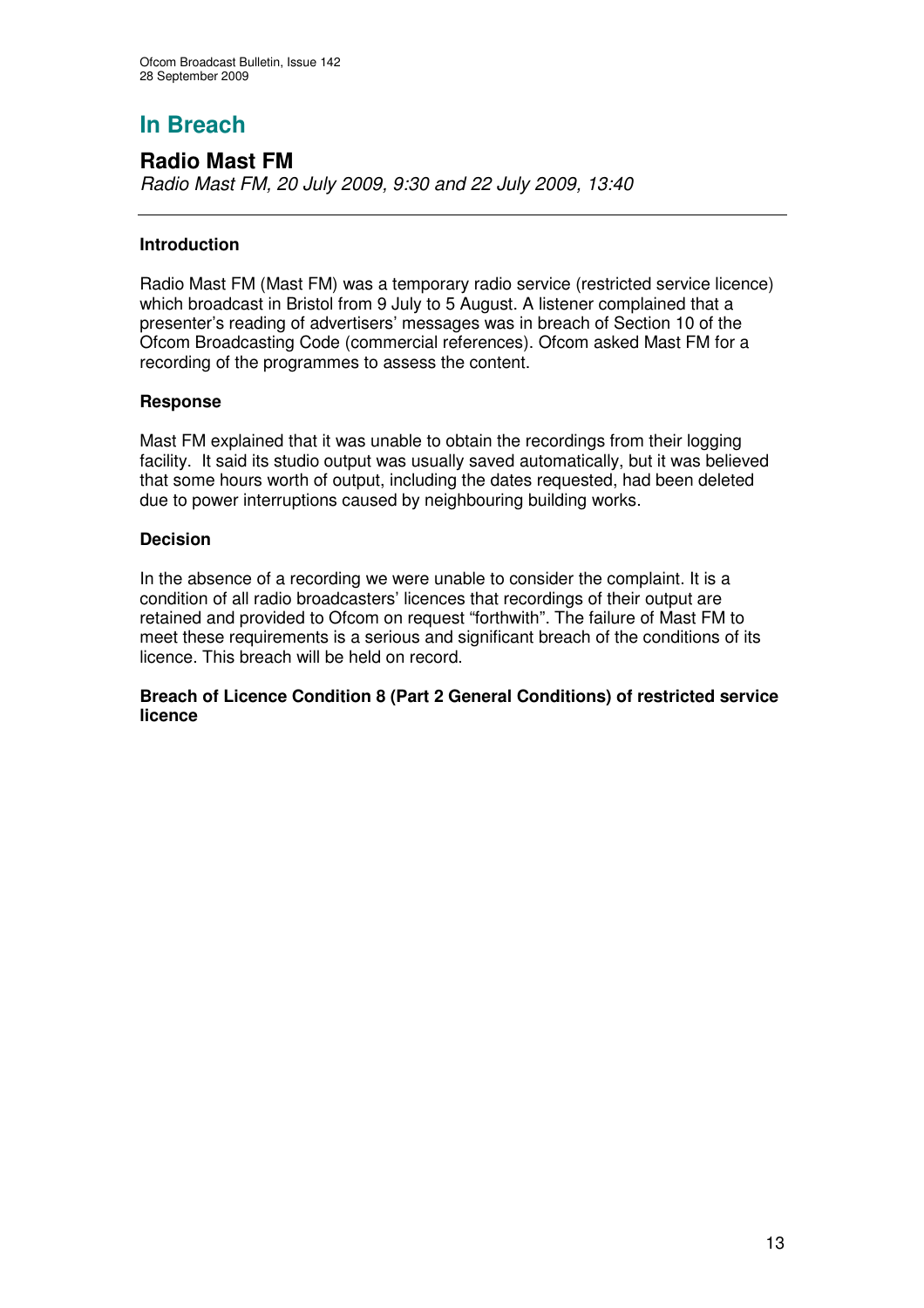# **In Breach**

## **Radio Mast FM**

*Radio Mast FM, 20 July 2009, 9:30 and 22 July 2009, 13:40*

#### **Introduction**

Radio Mast FM (Mast FM) was a temporary radio service (restricted service licence) which broadcast in Bristol from 9 July to 5 August. A listener complained that a presenter's reading of advertisers' messages was in breach of Section 10 of the Ofcom Broadcasting Code (commercial references). Ofcom asked Mast FM for a recording of the programmes to assess the content.

#### **Response**

Mast FM explained that it was unable to obtain the recordings from their logging facility. It said its studio output was usually saved automatically, but it was believed that some hours worth of output, including the dates requested, had been deleted due to power interruptions caused by neighbouring building works.

#### **Decision**

In the absence of a recording we were unable to consider the complaint. It is a condition of all radio broadcasters' licences that recordings of their output are retained and provided to Ofcom on request "forthwith". The failure of Mast FM to meet these requirements is a serious and significant breach of the conditions of its licence. This breach will be held on record.

#### **Breach of Licence Condition 8 (Part 2 General Conditions) of restricted service licence**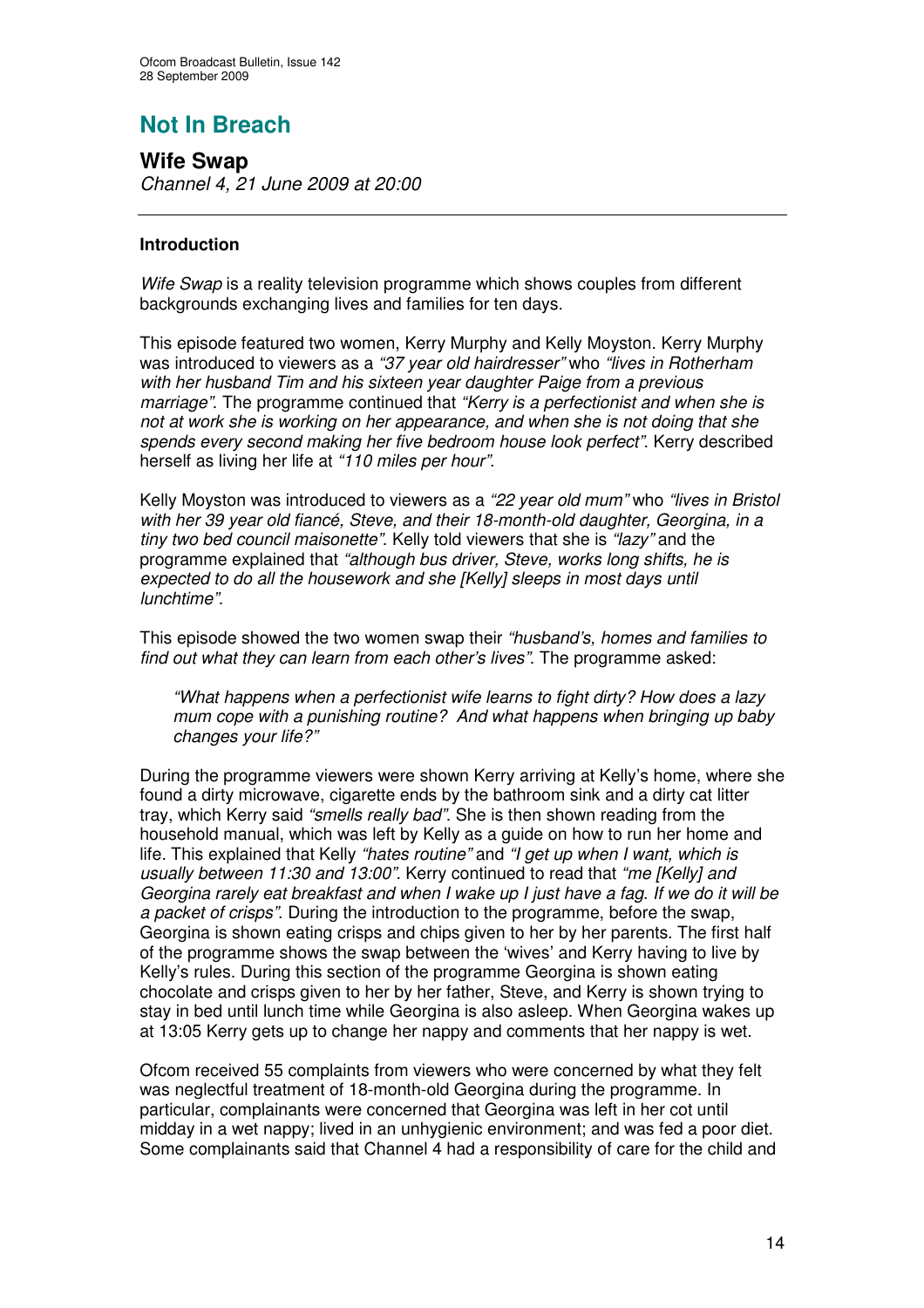# **Not In Breach**

**Wife Swap** *Channel 4, 21 June 2009 at 20:00*

#### **Introduction**

*Wife Swap* is a reality television programme which shows couples from different backgrounds exchanging lives and families for ten days.

This episode featured two women, Kerry Murphy and Kelly Moyston. Kerry Murphy was introduced to viewers as a *"37 year old hairdresser"* who *"lives in Rotherham with her husband Tim and his sixteen year daughter Paige from a previous marriage"*. The programme continued that *"Kerry is a perfectionist and when she is not at work she is working on her appearance, and when she is not doing that she spends every second making her five bedroom house look perfect"*. Kerry described herself as living her life at *"110 miles per hour"*.

Kelly Moyston was introduced to viewers as a *"22 year old mum"* who *"lives in Bristol with her 39 year old fiancé, Steve, and their 18-month-old daughter, Georgina, in a tiny two bed council maisonette"*. Kelly told viewers that she is *"lazy"* and the programme explained that *"although bus driver, Steve, works long shifts, he is expected to do all the housework and she [Kelly] sleeps in most days until lunchtime".*

This episode showed the two women swap their *"husband's, homes and families to find out what they can learn from each other's lives"*. The programme asked:

*"What happens when a perfectionist wife learns to fight dirty? How does a lazy mum cope with a punishing routine? And what happens when bringing up baby changes your life?"*

During the programme viewers were shown Kerry arriving at Kelly's home, where she found a dirty microwave, cigarette ends by the bathroom sink and a dirty cat litter tray, which Kerry said *"smells really bad"*. She is then shown reading from the household manual, which was left by Kelly as a guide on how to run her home and life. This explained that Kelly *"hates routine"* and *"I get up when I want, which is usually between 11:30 and 13:00".* Kerry continued to read that *"me [Kelly] and* Georgina rarely eat breakfast and when I wake up I just have a fag. If we do it will be *a packet of crisps"*. During the introduction to the programme, before the swap, Georgina is shown eating crisps and chips given to her by her parents. The first half of the programme shows the swap between the 'wives' and Kerry having to live by Kelly's rules. During this section of the programme Georgina is shown eating chocolate and crisps given to her by her father, Steve, and Kerry is shown trying to stay in bed until lunch time while Georgina is also asleep. When Georgina wakes up at 13:05 Kerry gets up to change her nappy and comments that her nappy is wet.

Ofcom received 55 complaints from viewers who were concerned by what they felt was neglectful treatment of 18-month-old Georgina during the programme. In particular, complainants were concerned that Georgina was left in her cot until midday in a wet nappy; lived in an unhygienic environment; and was fed a poor diet. Some complainants said that Channel 4 had a responsibility of care for the child and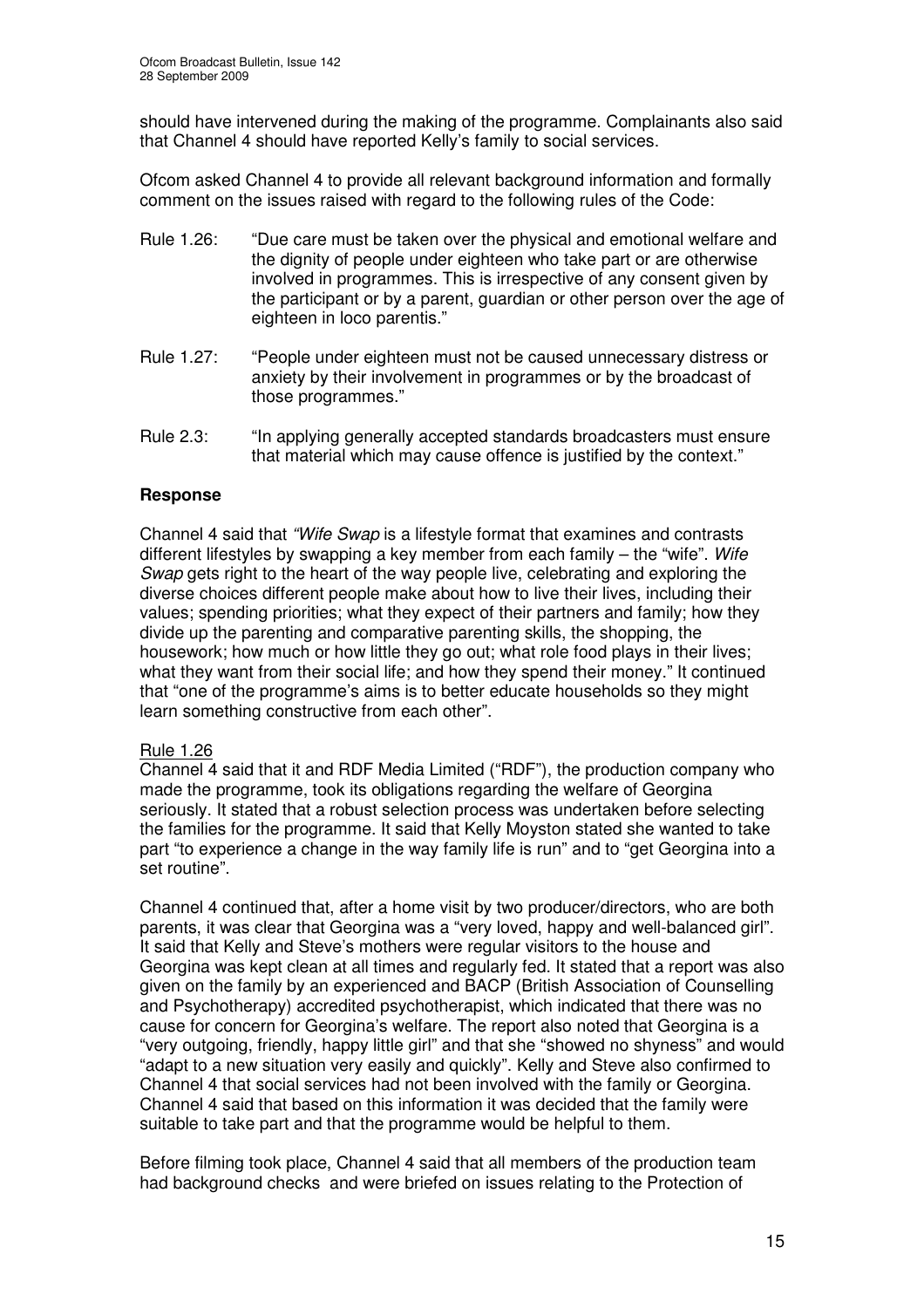should have intervened during the making of the programme. Complainants also said that Channel 4 should have reported Kelly's family to social services.

Ofcom asked Channel 4 to provide all relevant background information and formally comment on the issues raised with regard to the following rules of the Code:

- Rule 1.26: "Due care must be taken over the physical and emotional welfare and the dignity of people under eighteen who take part or are otherwise involved in programmes. This is irrespective of any consent given by the participant or by a parent, guardian or other person over the age of eighteen in loco parentis."
- Rule 1.27: "People under eighteen must not be caused unnecessary distress or anxiety by their involvement in programmes or by the broadcast of those programmes."
- Rule 2.3: "In applying generally accepted standards broadcasters must ensure that material which may cause offence is justified by the context."

#### **Response**

Channel 4 said that *"Wife Swap* is a lifestyle format that examines and contrasts different lifestyles by swapping a key member from each family – the "wife". *Wife Swap* gets right to the heart of the way people live, celebrating and exploring the diverse choices different people make about how to live their lives, including their values; spending priorities; what they expect of their partners and family; how they divide up the parenting and comparative parenting skills, the shopping, the housework; how much or how little they go out; what role food plays in their lives; what they want from their social life; and how they spend their money." It continued that "one of the programme's aims is to better educate households so they might learn something constructive from each other".

#### Rule 1.26

Channel 4 said that it and RDF Media Limited ("RDF"), the production company who made the programme, took its obligations regarding the welfare of Georgina seriously. It stated that a robust selection process was undertaken before selecting the families for the programme. It said that Kelly Moyston stated she wanted to take part "to experience a change in the way family life is run" and to "get Georgina into a set routine".

Channel 4 continued that, after a home visit by two producer/directors, who are both parents, it was clear that Georgina was a "very loved, happy and well-balanced girl". It said that Kelly and Steve's mothers were regular visitors to the house and Georgina was kept clean at all times and regularly fed. It stated that a report was also given on the family by an experienced and BACP (British Association of Counselling and Psychotherapy) accredited psychotherapist, which indicated that there was no cause for concern for Georgina's welfare. The report also noted that Georgina is a "very outgoing, friendly, happy little girl" and that she "showed no shyness" and would "adapt to a new situation very easily and quickly". Kelly and Steve also confirmed to Channel 4 that social services had not been involved with the family or Georgina. Channel 4 said that based on this information it was decided that the family were suitable to take part and that the programme would be helpful to them.

Before filming took place, Channel 4 said that all members of the production team had background checks and were briefed on issues relating to the Protection of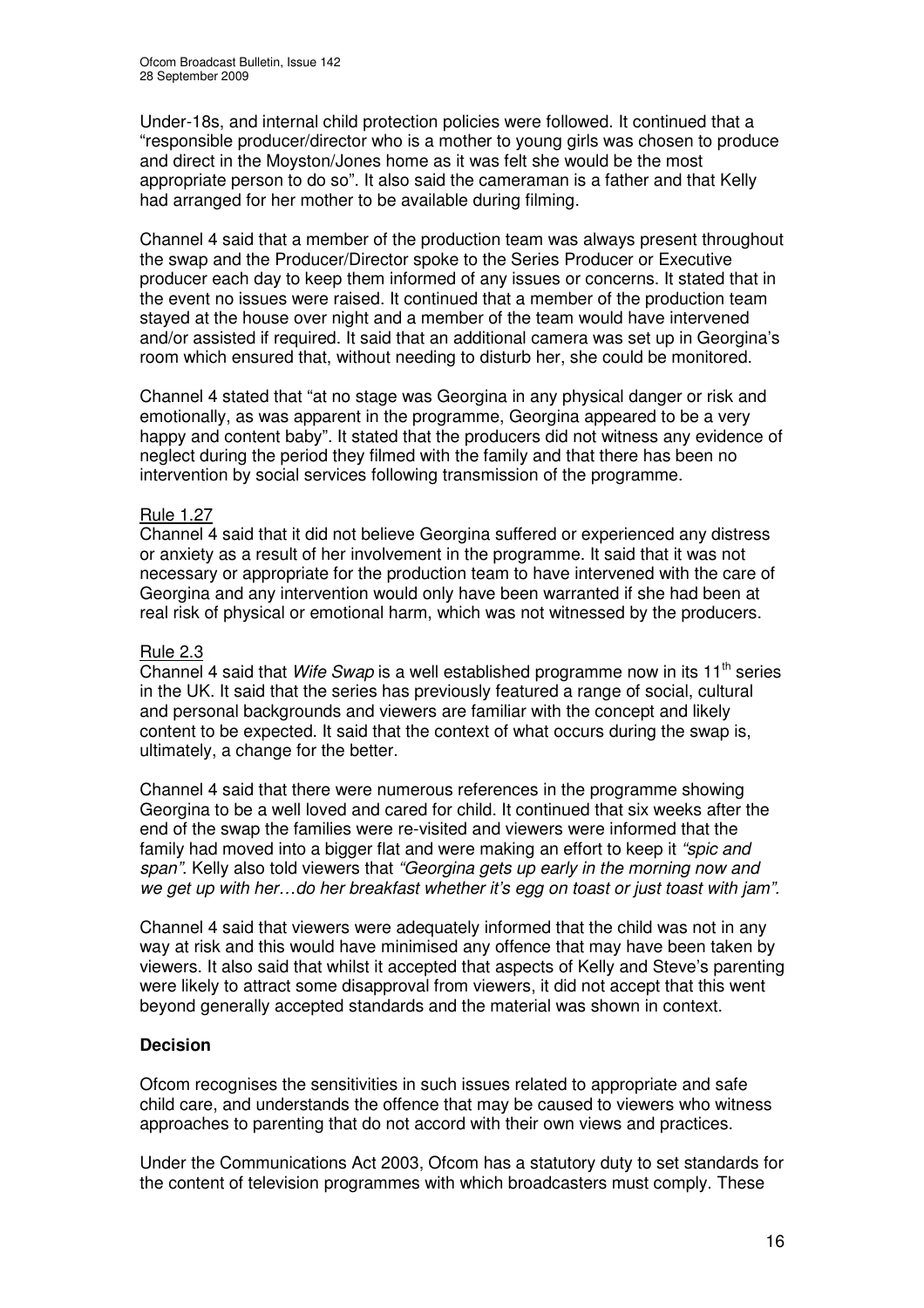Under-18s, and internal child protection policies were followed. It continued that a "responsible producer/director who is a mother to young girls was chosen to produce and direct in the Moyston/Jones home as it was felt she would be the most appropriate person to do so". It also said the cameraman is a father and that Kelly had arranged for her mother to be available during filming.

Channel 4 said that a member of the production team was always present throughout the swap and the Producer/Director spoke to the Series Producer or Executive producer each day to keep them informed of any issues or concerns. It stated that in the event no issues were raised. It continued that a member of the production team stayed at the house over night and a member of the team would have intervened and/or assisted if required. It said that an additional camera was set up in Georgina's room which ensured that, without needing to disturb her, she could be monitored.

Channel 4 stated that "at no stage was Georgina in any physical danger or risk and emotionally, as was apparent in the programme, Georgina appeared to be a very happy and content baby". It stated that the producers did not witness any evidence of neglect during the period they filmed with the family and that there has been no intervention by social services following transmission of the programme.

#### Rule 1.27

Channel 4 said that it did not believe Georgina suffered or experienced any distress or anxiety as a result of her involvement in the programme. It said that it was not necessary or appropriate for the production team to have intervened with the care of Georgina and any intervention would only have been warranted if she had been at real risk of physical or emotional harm, which was not witnessed by the producers.

#### Rule 2.3

Channel 4 said that *Wife Swap* is a well established programme now in its 11<sup>th</sup> series in the UK. It said that the series has previously featured a range of social, cultural and personal backgrounds and viewers are familiar with the concept and likely content to be expected. It said that the context of what occurs during the swap is, ultimately, a change for the better.

Channel 4 said that there were numerous references in the programme showing Georgina to be a well loved and cared for child. It continued that six weeks after the end of the swap the families were re-visited and viewers were informed that the family had moved into a bigger flat and were making an effort to keep it *"spic and span"*. Kelly also told viewers that *"Georgina gets up early in the morning now and we get up with her…do her breakfast whether it's egg on toast or just toast with jam".*

Channel 4 said that viewers were adequately informed that the child was not in any way at risk and this would have minimised any offence that may have been taken by viewers. It also said that whilst it accepted that aspects of Kelly and Steve's parenting were likely to attract some disapproval from viewers, it did not accept that this went beyond generally accepted standards and the material was shown in context.

#### **Decision**

Ofcom recognises the sensitivities in such issues related to appropriate and safe child care, and understands the offence that may be caused to viewers who witness approaches to parenting that do not accord with their own views and practices.

Under the Communications Act 2003, Ofcom has a statutory duty to set standards for the content of television programmes with which broadcasters must comply. These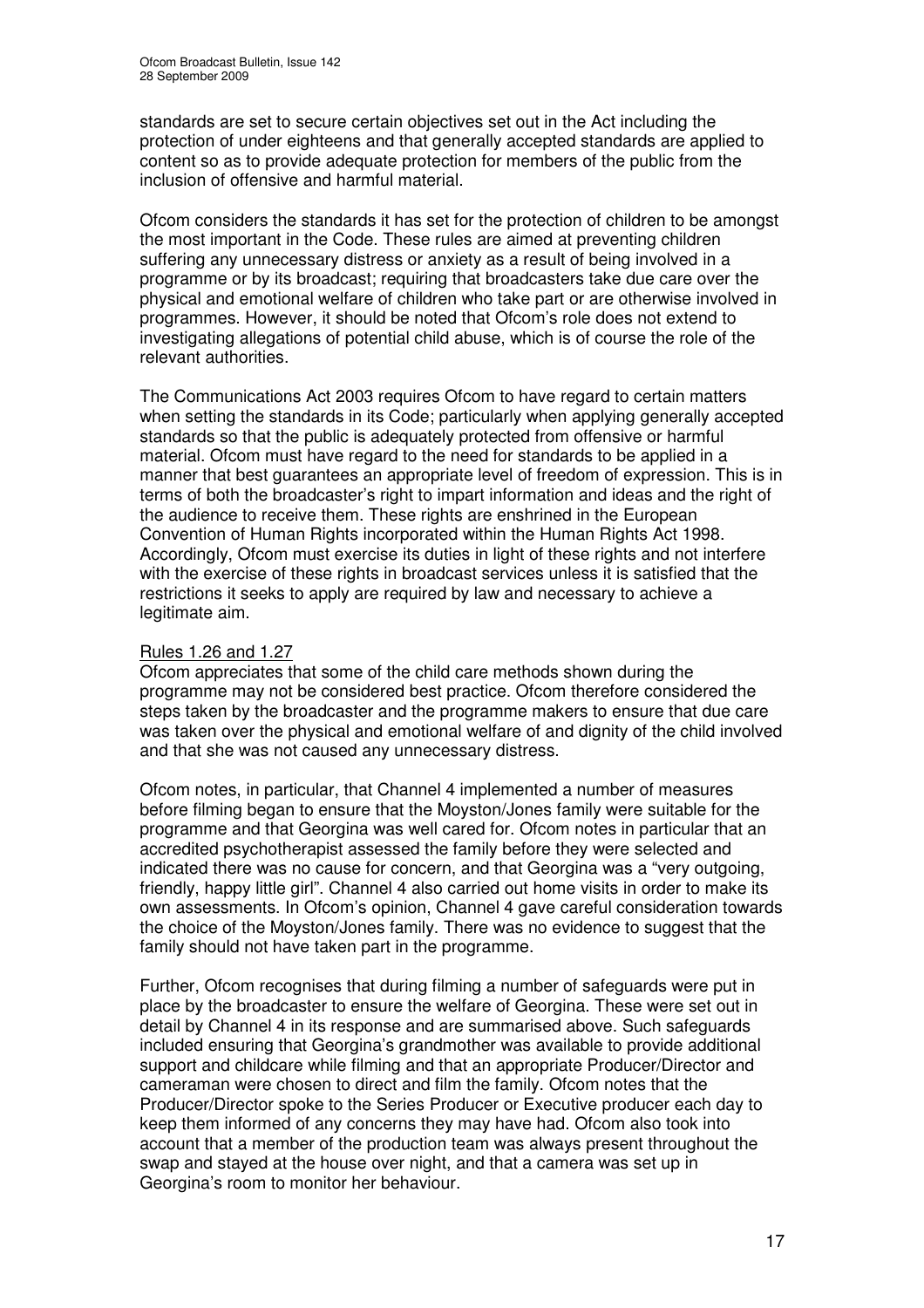standards are set to secure certain objectives set out in the Act including the protection of under eighteens and that generally accepted standards are applied to content so as to provide adequate protection for members of the public from the inclusion of offensive and harmful material.

Ofcom considers the standards it has set for the protection of children to be amongst the most important in the Code. These rules are aimed at preventing children suffering any unnecessary distress or anxiety as a result of being involved in a programme or by its broadcast; requiring that broadcasters take due care over the physical and emotional welfare of children who take part or are otherwise involved in programmes. However, it should be noted that Ofcom's role does not extend to investigating allegations of potential child abuse, which is of course the role of the relevant authorities.

The Communications Act 2003 requires Ofcom to have regard to certain matters when setting the standards in its Code; particularly when applying generally accepted standards so that the public is adequately protected from offensive or harmful material. Ofcom must have regard to the need for standards to be applied in a manner that best guarantees an appropriate level of freedom of expression. This is in terms of both the broadcaster's right to impart information and ideas and the right of the audience to receive them. These rights are enshrined in the European Convention of Human Rights incorporated within the Human Rights Act 1998. Accordingly, Ofcom must exercise its duties in light of these rights and not interfere with the exercise of these rights in broadcast services unless it is satisfied that the restrictions it seeks to apply are required by law and necessary to achieve a legitimate aim.

#### Rules 1.26 and 1.27

Ofcom appreciates that some of the child care methods shown during the programme may not be considered best practice. Ofcom therefore considered the steps taken by the broadcaster and the programme makers to ensure that due care was taken over the physical and emotional welfare of and dignity of the child involved and that she was not caused any unnecessary distress.

Ofcom notes, in particular, that Channel 4 implemented a number of measures before filming began to ensure that the Moyston/Jones family were suitable for the programme and that Georgina was well cared for. Ofcom notes in particular that an accredited psychotherapist assessed the family before they were selected and indicated there was no cause for concern, and that Georgina was a "very outgoing, friendly, happy little girl". Channel 4 also carried out home visits in order to make its own assessments. In Ofcom's opinion, Channel 4 gave careful consideration towards the choice of the Moyston/Jones family. There was no evidence to suggest that the family should not have taken part in the programme.

Further, Ofcom recognises that during filming a number of safeguards were put in place by the broadcaster to ensure the welfare of Georgina. These were set out in detail by Channel 4 in its response and are summarised above. Such safeguards included ensuring that Georgina's grandmother was available to provide additional support and childcare while filming and that an appropriate Producer/Director and cameraman were chosen to direct and film the family. Ofcom notes that the Producer/Director spoke to the Series Producer or Executive producer each day to keep them informed of any concerns they may have had. Ofcom also took into account that a member of the production team was always present throughout the swap and stayed at the house over night, and that a camera was set up in Georgina's room to monitor her behaviour.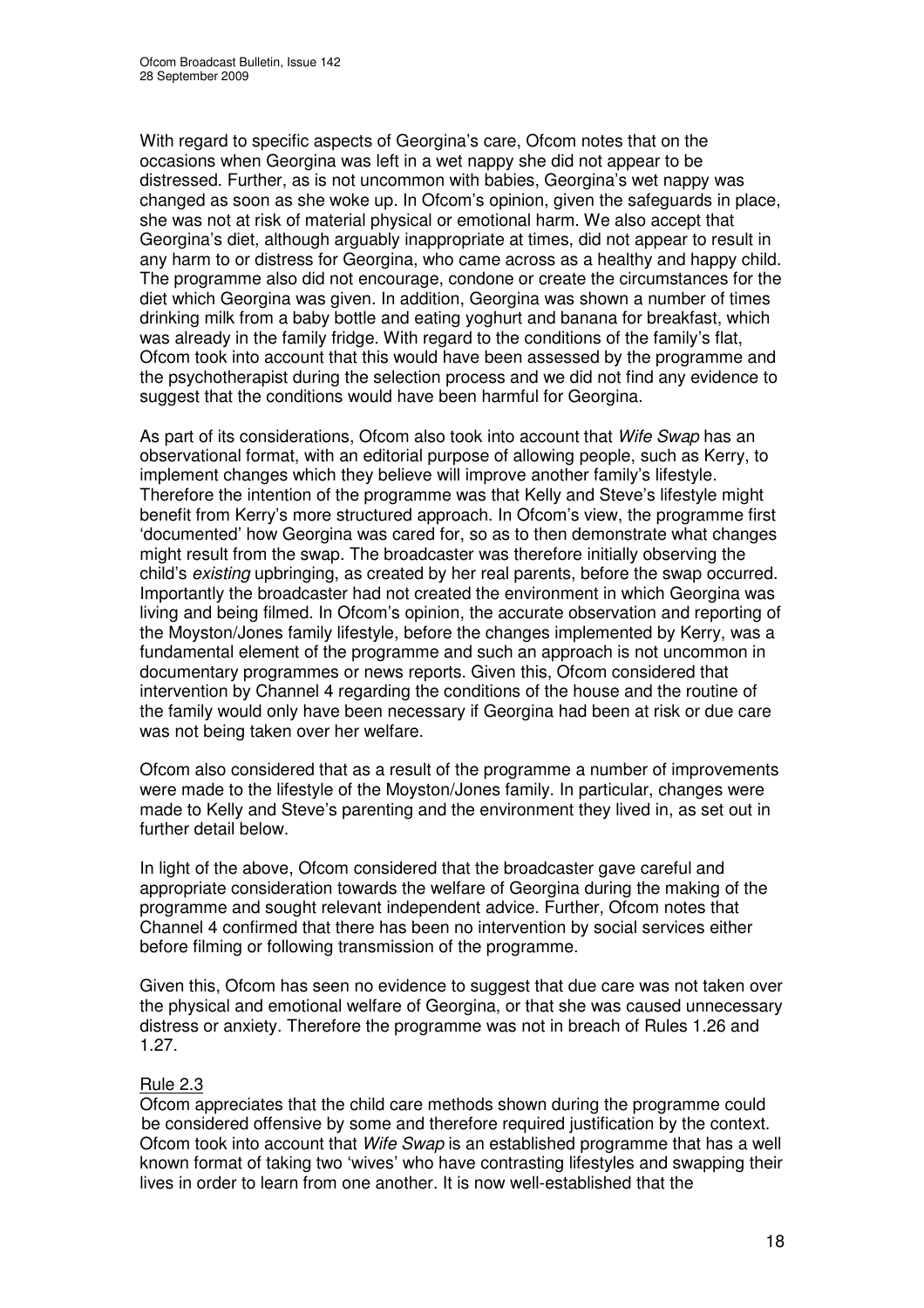With regard to specific aspects of Georgina's care, Ofcom notes that on the occasions when Georgina was left in a wet nappy she did not appear to be distressed. Further, as is not uncommon with babies, Georgina's wet nappy was changed as soon as she woke up. In Ofcom's opinion, given the safeguards in place, she was not at risk of material physical or emotional harm. We also accept that Georgina's diet, although arguably inappropriate at times, did not appear to result in any harm to or distress for Georgina, who came across as a healthy and happy child. The programme also did not encourage, condone or create the circumstances for the diet which Georgina was given. In addition, Georgina was shown a number of times drinking milk from a baby bottle and eating yoghurt and banana for breakfast, which was already in the family fridge. With regard to the conditions of the family's flat, Ofcom took into account that this would have been assessed by the programme and the psychotherapist during the selection process and we did not find any evidence to suggest that the conditions would have been harmful for Georgina.

As part of its considerations, Ofcom also took into account that *Wife Swap* has an observational format, with an editorial purpose of allowing people, such as Kerry, to implement changes which they believe will improve another family's lifestyle. Therefore the intention of the programme was that Kelly and Steve's lifestyle might benefit from Kerry's more structured approach. In Ofcom's view, the programme first 'documented' how Georgina was cared for, so as to then demonstrate what changes might result from the swap. The broadcaster was therefore initially observing the child's *existing* upbringing, as created by her real parents, before the swap occurred. Importantly the broadcaster had not created the environment in which Georgina was living and being filmed. In Ofcom's opinion, the accurate observation and reporting of the Moyston/Jones family lifestyle, before the changes implemented by Kerry, was a fundamental element of the programme and such an approach is not uncommon in documentary programmes or news reports. Given this, Ofcom considered that intervention by Channel 4 regarding the conditions of the house and the routine of the family would only have been necessary if Georgina had been at risk or due care was not being taken over her welfare.

Ofcom also considered that as a result of the programme a number of improvements were made to the lifestyle of the Moyston/Jones family. In particular, changes were made to Kelly and Steve's parenting and the environment they lived in, as set out in further detail below.

In light of the above, Ofcom considered that the broadcaster gave careful and appropriate consideration towards the welfare of Georgina during the making of the programme and sought relevant independent advice. Further, Ofcom notes that Channel 4 confirmed that there has been no intervention by social services either before filming or following transmission of the programme.

Given this, Ofcom has seen no evidence to suggest that due care was not taken over the physical and emotional welfare of Georgina, or that she was caused unnecessary distress or anxiety. Therefore the programme was not in breach of Rules 1.26 and 1.27.

#### Rule 2.3

Ofcom appreciates that the child care methods shown during the programme could be considered offensive by some and therefore required justification by the context. Ofcom took into account that *Wife Swap* is an established programme that has a well known format of taking two 'wives' who have contrasting lifestyles and swapping their lives in order to learn from one another. It is now well-established that the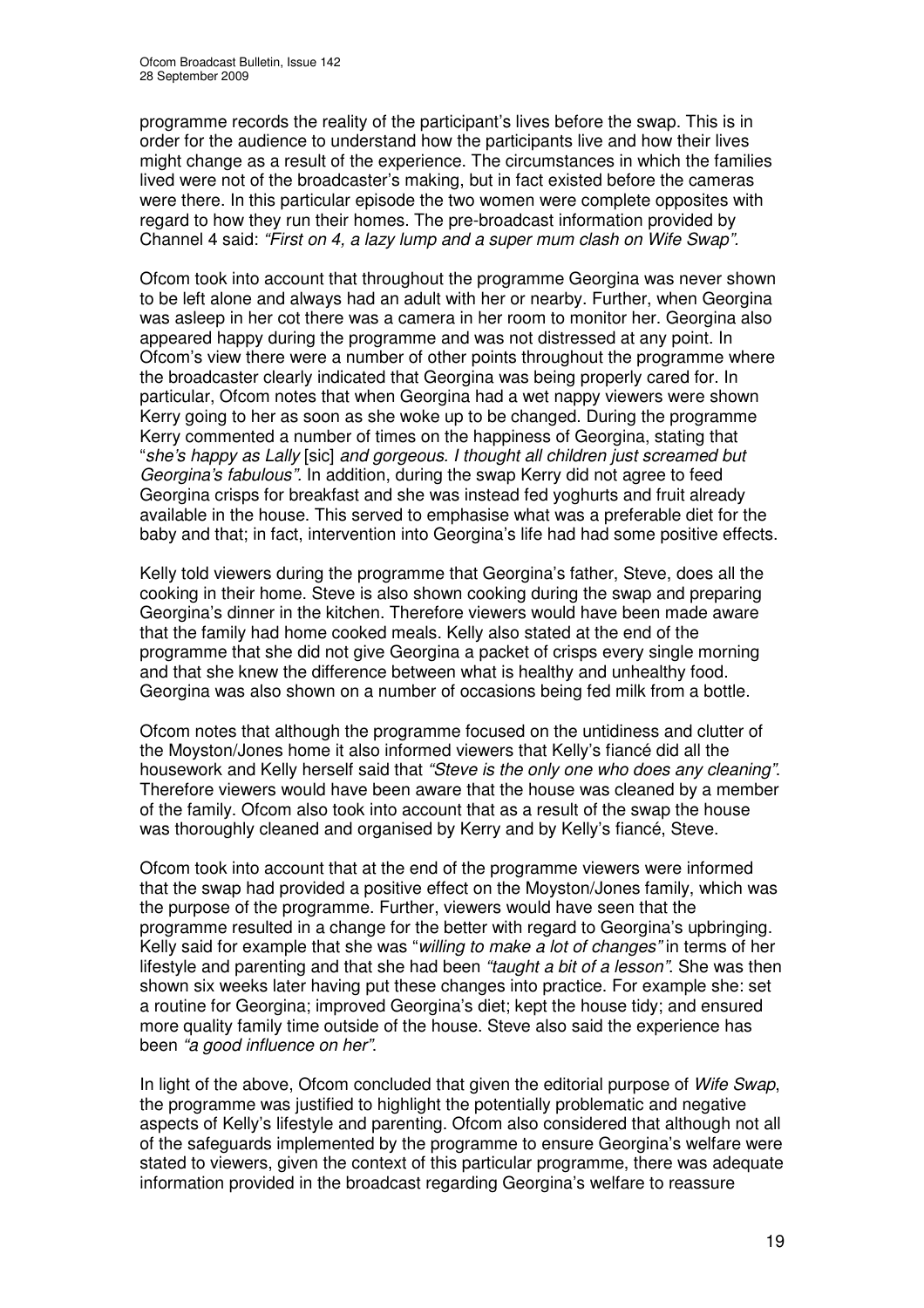programme records the reality of the participant's lives before the swap. This is in order for the audience to understand how the participants live and how their lives might change as a result of the experience. The circumstances in which the families lived were not of the broadcaster's making, but in fact existed before the cameras were there. In this particular episode the two women were complete opposites with regard to how they run their homes. The pre-broadcast information provided by Channel 4 said: *"First on 4, a lazy lump and a super mum clash on Wife Swap".*

Ofcom took into account that throughout the programme Georgina was never shown to be left alone and always had an adult with her or nearby. Further, when Georgina was asleep in her cot there was a camera in her room to monitor her. Georgina also appeared happy during the programme and was not distressed at any point. In Ofcom's view there were a number of other points throughout the programme where the broadcaster clearly indicated that Georgina was being properly cared for. In particular, Ofcom notes that when Georgina had a wet nappy viewers were shown Kerry going to her as soon as she woke up to be changed. During the programme Kerry commented a number of times on the happiness of Georgina, stating that "*she's happy as Lally* [sic] *and gorgeous. I thought all children just screamed but Georgina's fabulous".* In addition, during the swap Kerry did not agree to feed Georgina crisps for breakfast and she was instead fed yoghurts and fruit already available in the house. This served to emphasise what was a preferable diet for the baby and that; in fact, intervention into Georgina's life had had some positive effects.

Kelly told viewers during the programme that Georgina's father, Steve, does all the cooking in their home. Steve is also shown cooking during the swap and preparing Georgina's dinner in the kitchen. Therefore viewers would have been made aware that the family had home cooked meals. Kelly also stated at the end of the programme that she did not give Georgina a packet of crisps every single morning and that she knew the difference between what is healthy and unhealthy food. Georgina was also shown on a number of occasions being fed milk from a bottle.

Ofcom notes that although the programme focused on the untidiness and clutter of the Moyston/Jones home it also informed viewers that Kelly's fiancé did all the housework and Kelly herself said that *"Steve is the only one who does any cleaning"*. Therefore viewers would have been aware that the house was cleaned by a member of the family. Ofcom also took into account that as a result of the swap the house was thoroughly cleaned and organised by Kerry and by Kelly's fiancé, Steve.

Ofcom took into account that at the end of the programme viewers were informed that the swap had provided a positive effect on the Moyston/Jones family, which was the purpose of the programme. Further, viewers would have seen that the programme resulted in a change for the better with regard to Georgina's upbringing. Kelly said for example that she was "*willing to make a lot of changes"* in terms of her lifestyle and parenting and that she had been *"taught a bit of a lesson"*. She was then shown six weeks later having put these changes into practice. For example she: set a routine for Georgina; improved Georgina's diet; kept the house tidy; and ensured more quality family time outside of the house. Steve also said the experience has been *"a good influence on her"*.

In light of the above, Ofcom concluded that given the editorial purpose of *Wife Swap*, the programme was justified to highlight the potentially problematic and negative aspects of Kelly's lifestyle and parenting. Ofcom also considered that although not all of the safeguards implemented by the programme to ensure Georgina's welfare were stated to viewers, given the context of this particular programme, there was adequate information provided in the broadcast regarding Georgina's welfare to reassure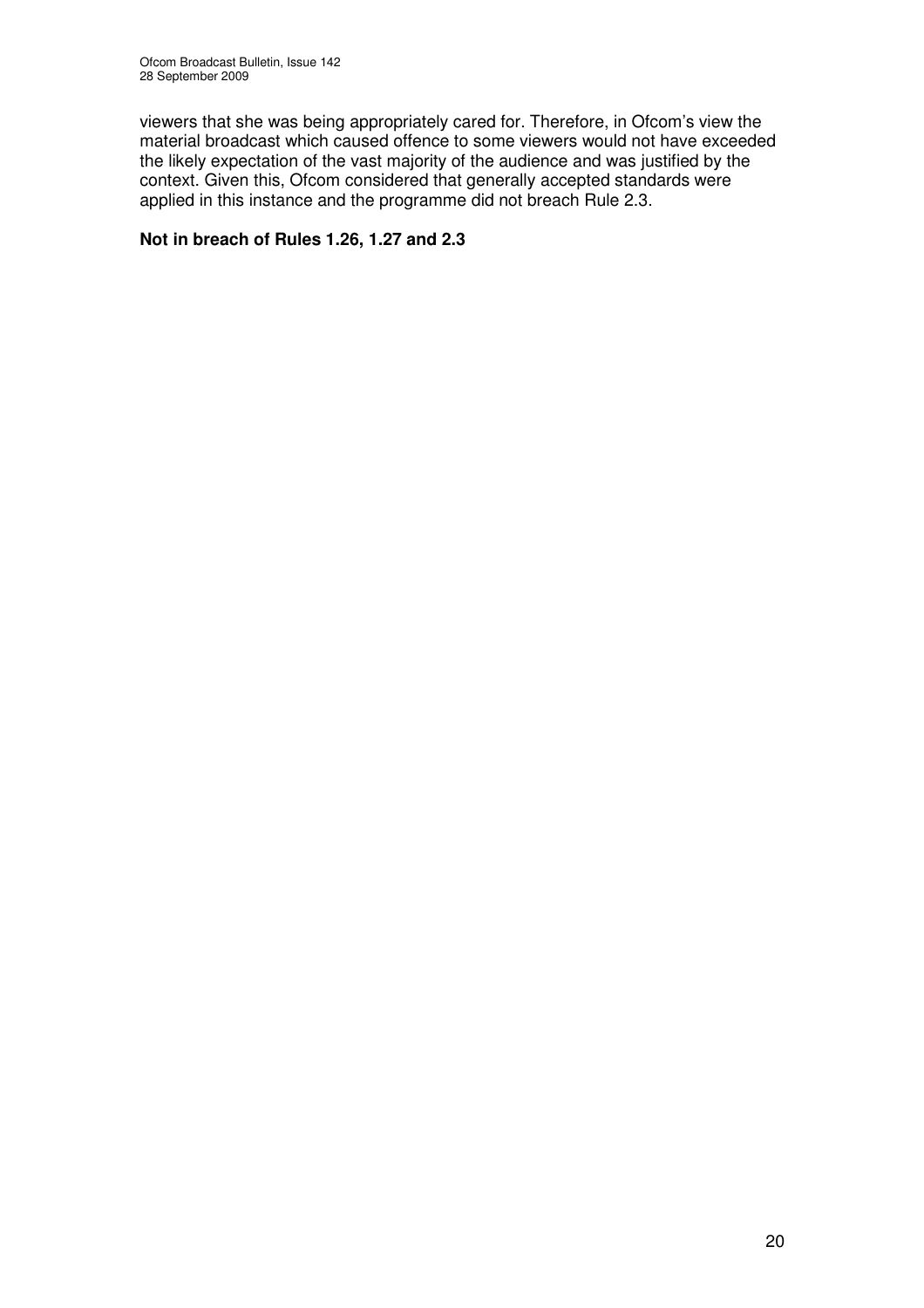viewers that she was being appropriately cared for. Therefore, in Ofcom's view the material broadcast which caused offence to some viewers would not have exceeded the likely expectation of the vast majority of the audience and was justified by the context. Given this, Ofcom considered that generally accepted standards were applied in this instance and the programme did not breach Rule 2.3.

#### **Not in breach of Rules 1.26, 1.27 and 2.3**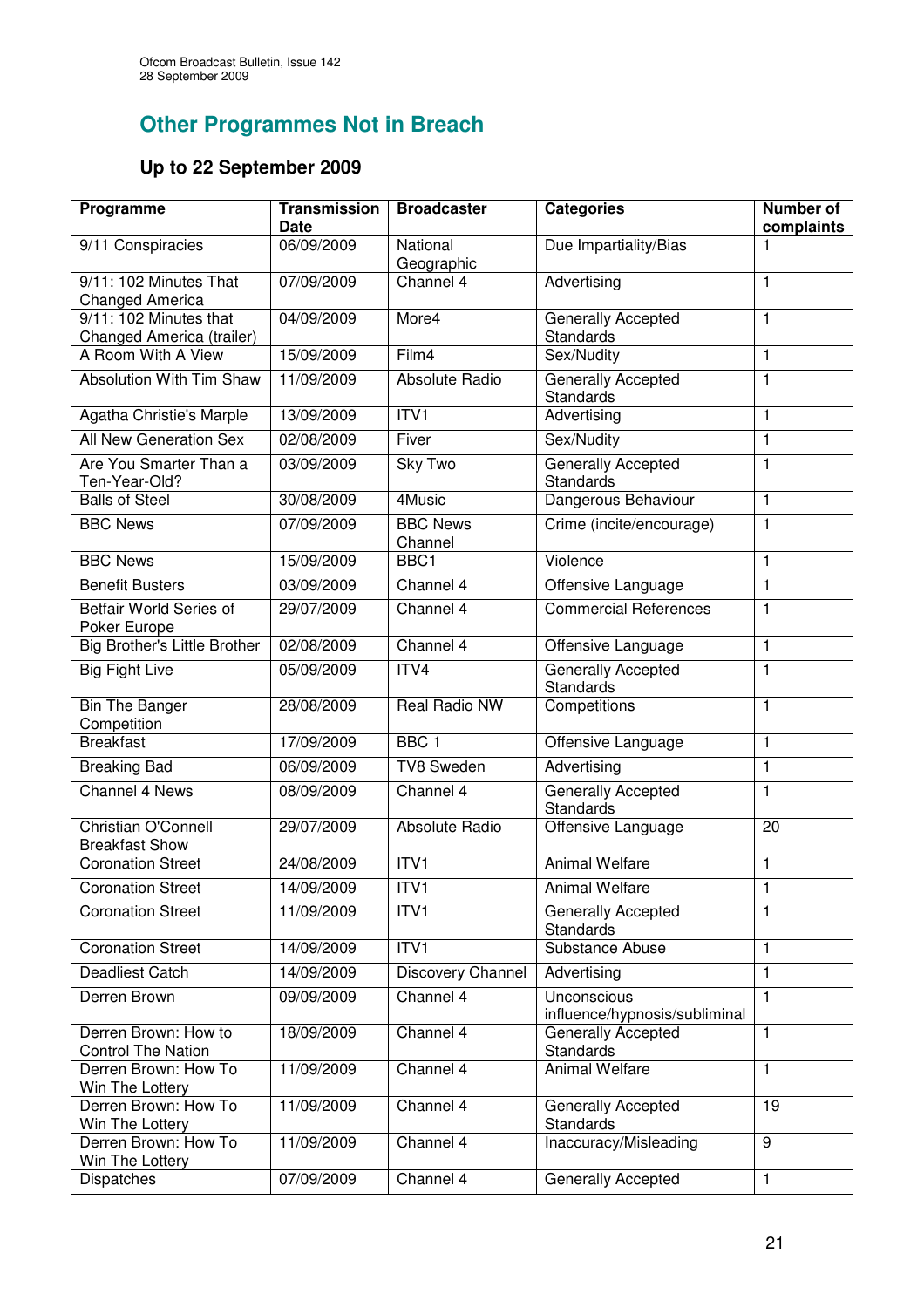# **Other Programmes Not in Breach**

# **Up to 22 September 2009**

| Programme                                           | <b>Transmission</b><br><b>Date</b> | <b>Broadcaster</b>         | <b>Categories</b>                             | Number of<br>complaints |
|-----------------------------------------------------|------------------------------------|----------------------------|-----------------------------------------------|-------------------------|
| 9/11 Conspiracies                                   | 06/09/2009                         | National<br>Geographic     | Due Impartiality/Bias                         | 1                       |
| 9/11: 102 Minutes That<br>Changed America           | 07/09/2009                         | Channel 4                  | Advertising                                   | 1                       |
| 9/11: 102 Minutes that<br>Changed America (trailer) | 04/09/2009                         | More4                      | Generally Accepted<br><b>Standards</b>        | $\mathbf{1}$            |
| A Room With A View                                  | 15/09/2009                         | Film4                      | Sex/Nudity                                    | $\mathbf{1}$            |
| Absolution With Tim Shaw                            | 11/09/2009                         | Absolute Radio             | <b>Generally Accepted</b><br><b>Standards</b> | 1                       |
| Agatha Christie's Marple                            | 13/09/2009                         | ITV <sub>1</sub>           | Advertising                                   | $\mathbf{1}$            |
| All New Generation Sex                              | 02/08/2009                         | Fiver                      | Sex/Nudity                                    | $\mathbf{1}$            |
| Are You Smarter Than a<br>Ten-Year-Old?             | 03/09/2009                         | Sky Two                    | Generally Accepted<br>Standards               | $\mathbf{1}$            |
| <b>Balls of Steel</b>                               | 30/08/2009                         | 4Music                     | Dangerous Behaviour                           | $\mathbf{1}$            |
| <b>BBC News</b>                                     | 07/09/2009                         | <b>BBC News</b><br>Channel | Crime (incite/encourage)                      | $\mathbf{1}$            |
| <b>BBC News</b>                                     | 15/09/2009                         | BBC1                       | Violence                                      | $\mathbf{1}$            |
| <b>Benefit Busters</b>                              | 03/09/2009                         | Channel 4                  | Offensive Language                            | $\mathbf{1}$            |
| Betfair World Series of<br>Poker Europe             | 29/07/2009                         | Channel 4                  | <b>Commercial References</b>                  | 1                       |
| Big Brother's Little Brother                        | 02/08/2009                         | Channel 4                  | Offensive Language                            | $\mathbf{1}$            |
| <b>Big Fight Live</b>                               | 05/09/2009                         | ITV4                       | Generally Accepted<br>Standards               | 1                       |
| <b>Bin The Banger</b><br>Competition                | 28/08/2009                         | Real Radio NW              | Competitions                                  | 1                       |
| <b>Breakfast</b>                                    | 17/09/2009                         | BBC <sub>1</sub>           | Offensive Language                            | $\mathbf{1}$            |
| <b>Breaking Bad</b>                                 | 06/09/2009                         | TV8 Sweden                 | Advertising                                   | $\mathbf{1}$            |
| Channel 4 News                                      | 08/09/2009                         | Channel 4                  | Generally Accepted<br><b>Standards</b>        | 1                       |
| <b>Christian O'Connell</b><br><b>Breakfast Show</b> | 29/07/2009                         | Absolute Radio             | Offensive Language                            | 20                      |
| <b>Coronation Street</b>                            | 24/08/2009                         | ITV1                       | Animal Welfare                                | $\mathbf{1}$            |
| <b>Coronation Street</b>                            | 14/09/2009                         | ITVI                       | <b>Animal Welfare</b>                         | $\mathbf{1}$            |
| <b>Coronation Street</b>                            | 11/09/2009                         | ITV1                       | <b>Generally Accepted</b><br>Standards        | 1                       |
| <b>Coronation Street</b>                            | 14/09/2009                         | ITVI                       | Substance Abuse                               | $\mathbf{1}$            |
| <b>Deadliest Catch</b>                              | 14/09/2009                         | Discovery Channel          | Advertising                                   | $\mathbf{1}$            |
| Derren Brown                                        | 09/09/2009                         | Channel 4                  | Unconscious<br>influence/hypnosis/subliminal  | $\mathbf{1}$            |
| Derren Brown: How to<br><b>Control The Nation</b>   | 18/09/2009                         | Channel 4                  | Generally Accepted<br><b>Standards</b>        | 1                       |
| Derren Brown: How To<br>Win The Lottery             | 11/09/2009                         | Channel 4                  | <b>Animal Welfare</b>                         | 1                       |
| Derren Brown: How To<br>Win The Lottery             | 11/09/2009                         | Channel 4                  | Generally Accepted<br><b>Standards</b>        | 19                      |
| Derren Brown: How To<br>Win The Lottery             | 11/09/2009                         | Channel 4                  | Inaccuracy/Misleading                         | 9                       |
| Dispatches                                          | 07/09/2009                         | Channel 4                  | <b>Generally Accepted</b>                     | $\mathbf{1}$            |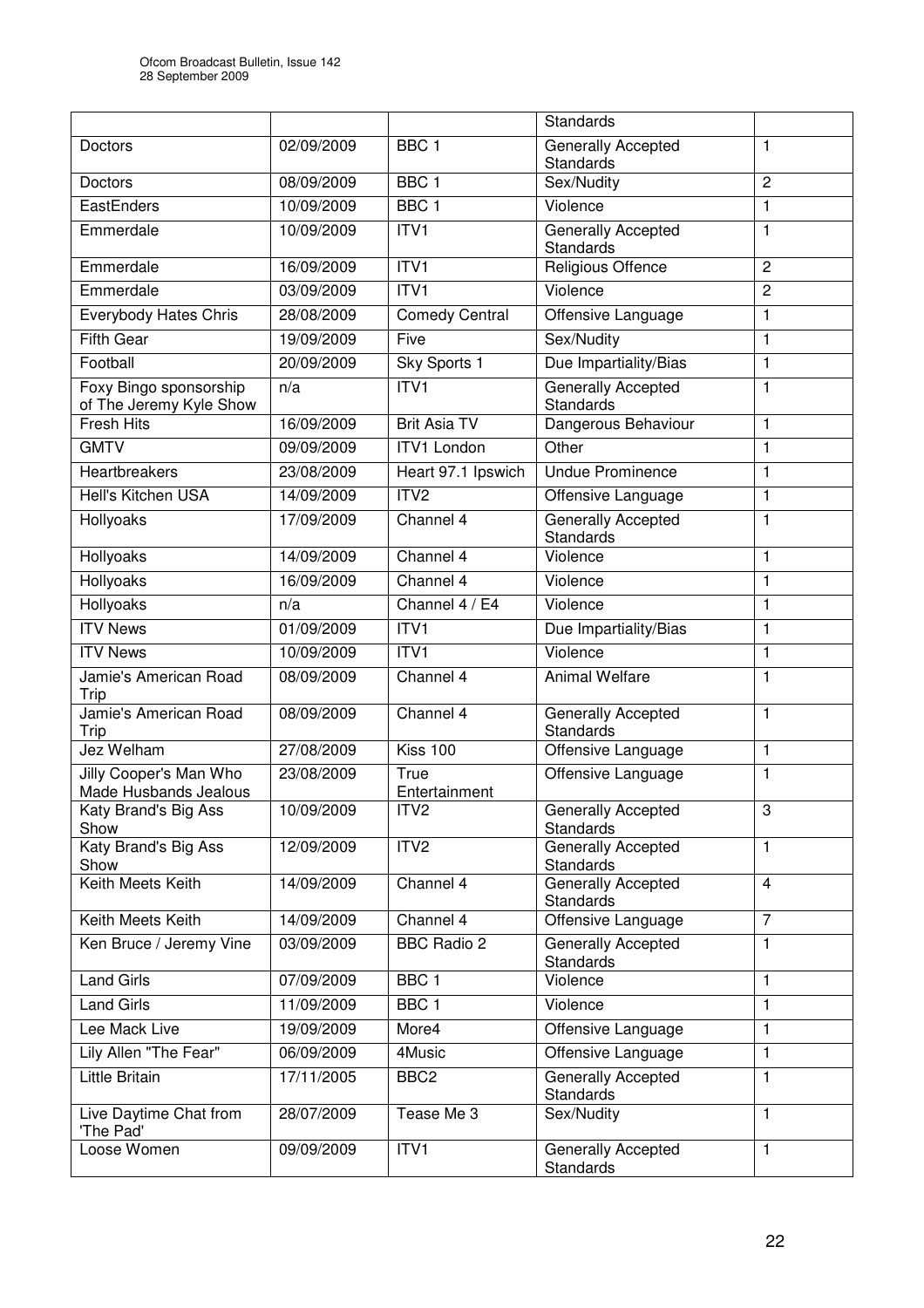|                                                   |            |                       | <b>Standards</b>                              |                |
|---------------------------------------------------|------------|-----------------------|-----------------------------------------------|----------------|
| Doctors                                           | 02/09/2009 | BBC <sub>1</sub>      | Generally Accepted<br><b>Standards</b>        | 1              |
| Doctors                                           | 08/09/2009 | BBC <sub>1</sub>      | Sex/Nudity                                    | $\overline{2}$ |
| EastEnders                                        | 10/09/2009 | BBC <sub>1</sub>      | Violence                                      | 1              |
| Emmerdale                                         | 10/09/2009 | ITV1                  | Generally Accepted<br>Standards               | $\mathbf{1}$   |
| Emmerdale                                         | 16/09/2009 | ITVI                  | Religious Offence                             | $\overline{c}$ |
| Emmerdale                                         | 03/09/2009 | ITV1                  | Violence                                      | $\overline{c}$ |
| <b>Everybody Hates Chris</b>                      | 28/08/2009 | <b>Comedy Central</b> | Offensive Language                            | 1              |
| <b>Fifth Gear</b>                                 | 19/09/2009 | Five                  | Sex/Nudity                                    | 1              |
| Football                                          | 20/09/2009 | Sky Sports 1          | Due Impartiality/Bias                         | $\mathbf{1}$   |
| Foxy Bingo sponsorship<br>of The Jeremy Kyle Show | n/a        | ITVI                  | <b>Generally Accepted</b><br><b>Standards</b> | $\mathbf{1}$   |
| <b>Fresh Hits</b>                                 | 16/09/2009 | <b>Brit Asia TV</b>   | Dangerous Behaviour                           | 1              |
| <b>GMTV</b>                                       | 09/09/2009 | <b>ITV1 London</b>    | Other                                         | $\mathbf{1}$   |
| Heartbreakers                                     | 23/08/2009 | Heart 97.1 Ipswich    | <b>Undue Prominence</b>                       | $\mathbf{1}$   |
| Hell's Kitchen USA                                | 14/09/2009 | ITV <sub>2</sub>      | Offensive Language                            | $\mathbf{1}$   |
| Hollyoaks                                         | 17/09/2009 | Channel 4             | <b>Generally Accepted</b><br><b>Standards</b> | $\mathbf{1}$   |
| Hollyoaks                                         | 14/09/2009 | Channel 4             | Violence                                      | $\mathbf{1}$   |
| Hollyoaks                                         | 16/09/2009 | Channel 4             | Violence                                      | $\mathbf{1}$   |
| Hollyoaks                                         | n/a        | Channel 4 / E4        | Violence                                      | 1              |
| <b>ITV News</b>                                   | 01/09/2009 | ITV1                  | Due Impartiality/Bias                         | $\mathbf{1}$   |
| <b>ITV News</b>                                   | 10/09/2009 | ITV <sub>1</sub>      | Violence                                      | $\mathbf{1}$   |
| Jamie's American Road<br>Trip                     | 08/09/2009 | Channel 4             | <b>Animal Welfare</b>                         | 1              |
| Jamie's American Road<br>Trip                     | 08/09/2009 | Channel 4             | Generally Accepted<br><b>Standards</b>        | 1              |
| Jez Welham                                        | 27/08/2009 | Kiss 100              | Offensive Language                            | $\mathbf{1}$   |
| Jilly Cooper's Man Who<br>Made Husbands Jealous   | 23/08/2009 | True<br>Entertainment | Offensive Language                            | $\mathbf{1}$   |
| Katy Brand's Big Ass<br>Show                      | 10/09/2009 | ITV <sub>2</sub>      | <b>Generally Accepted</b><br>Standards        | 3              |
| Katy Brand's Big Ass<br>Show                      | 12/09/2009 | ITV2                  | <b>Generally Accepted</b><br>Standards        | 1              |
| Keith Meets Keith                                 | 14/09/2009 | Channel 4             | Generally Accepted<br><b>Standards</b>        | $\overline{4}$ |
| Keith Meets Keith                                 | 14/09/2009 | Channel 4             | Offensive Language                            | $\overline{7}$ |
| Ken Bruce / Jeremy Vine                           | 03/09/2009 | <b>BBC Radio 2</b>    | <b>Generally Accepted</b><br><b>Standards</b> | $\mathbf{1}$   |
| <b>Land Girls</b>                                 | 07/09/2009 | BBC <sub>1</sub>      | Violence                                      | 1              |
| <b>Land Girls</b>                                 | 11/09/2009 | BBC <sub>1</sub>      | Violence                                      | 1              |
| Lee Mack Live                                     | 19/09/2009 | More4                 | Offensive Language                            | 1              |
| Lily Allen "The Fear"                             | 06/09/2009 | 4Music                | Offensive Language                            | $\mathbf{1}$   |
| Little Britain                                    | 17/11/2005 | BBC <sub>2</sub>      | Generally Accepted<br><b>Standards</b>        | $\mathbf{1}$   |
| Live Daytime Chat from<br>'The Pad'               | 28/07/2009 | Tease Me 3            | Sex/Nudity                                    | $\mathbf{1}$   |
| Loose Women                                       | 09/09/2009 | ITV1                  | Generally Accepted<br>Standards               | 1              |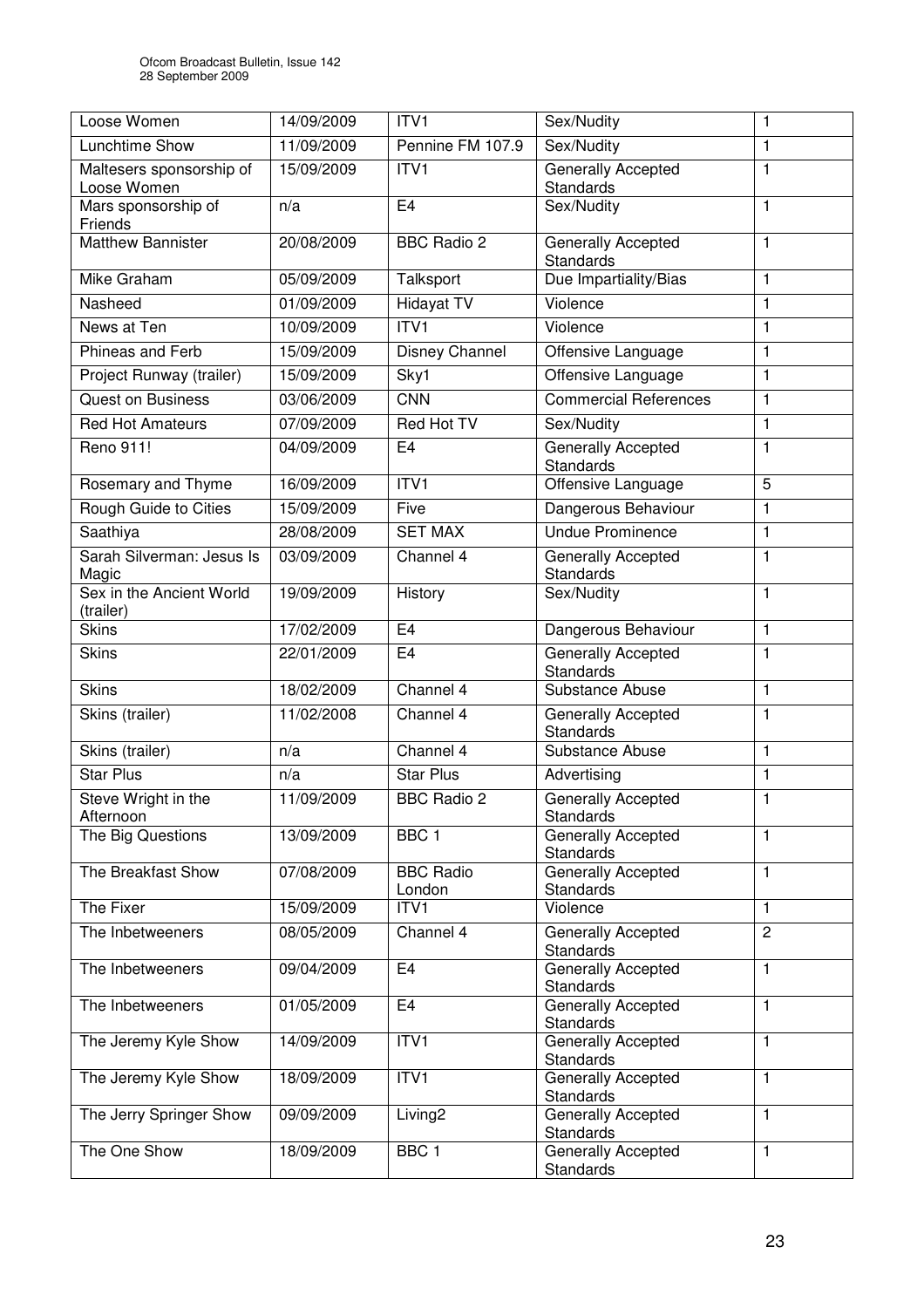| Loose Women                             | 14/09/2009 | ITV1                       | Sex/Nudity                                    | 1              |
|-----------------------------------------|------------|----------------------------|-----------------------------------------------|----------------|
| <b>Lunchtime Show</b>                   | 11/09/2009 | Pennine FM 107.9           | Sex/Nudity                                    | $\mathbf{1}$   |
| Maltesers sponsorship of<br>Loose Women | 15/09/2009 | ITV1                       | Generally Accepted<br><b>Standards</b>        | $\mathbf{1}$   |
| Mars sponsorship of<br>Friends          | n/a        | E <sub>4</sub>             | Sex/Nudity                                    | 1              |
| <b>Matthew Bannister</b>                | 20/08/2009 | <b>BBC Radio 2</b>         | Generally Accepted<br><b>Standards</b>        | 1              |
| Mike Graham                             | 05/09/2009 | Talksport                  | Due Impartiality/Bias                         | $\mathbf{1}$   |
| Nasheed                                 | 01/09/2009 | <b>Hidayat TV</b>          | Violence                                      | $\mathbf{1}$   |
| News at Ten                             | 10/09/2009 | ITVI                       | Violence                                      | 1              |
| Phineas and Ferb                        | 15/09/2009 | Disney Channel             | Offensive Language                            | $\mathbf{1}$   |
| Project Runway (trailer)                | 15/09/2009 | Sky1                       | Offensive Language                            | 1              |
| <b>Quest on Business</b>                | 03/06/2009 | <b>CNN</b>                 | <b>Commercial References</b>                  | $\mathbf{1}$   |
| <b>Red Hot Amateurs</b>                 | 07/09/2009 | <b>Red Hot TV</b>          | Sex/Nudity                                    | $\mathbf{1}$   |
| Reno 911!                               | 04/09/2009 | E <sub>4</sub>             | Generally Accepted<br><b>Standards</b>        | 1              |
| Rosemary and Thyme                      | 16/09/2009 | ITVI                       | Offensive Language                            | 5              |
| Rough Guide to Cities                   | 15/09/2009 | Five                       | Dangerous Behaviour                           | $\mathbf{1}$   |
| Saathiya                                | 28/08/2009 | <b>SET MAX</b>             | <b>Undue Prominence</b>                       | $\mathbf{1}$   |
| Sarah Silverman: Jesus Is<br>Magic      | 03/09/2009 | Channel 4                  | Generally Accepted<br><b>Standards</b>        | $\mathbf{1}$   |
| Sex in the Ancient World<br>(trailer)   | 19/09/2009 | History                    | Sex/Nudity                                    | 1              |
| <b>Skins</b>                            | 17/02/2009 | E4                         | Dangerous Behaviour                           | 1              |
| <b>Skins</b>                            | 22/01/2009 | E <sub>4</sub>             | Generally Accepted<br><b>Standards</b>        | 1              |
| <b>Skins</b>                            | 18/02/2009 | Channel 4                  | Substance Abuse                               | $\mathbf{1}$   |
| Skins (trailer)                         | 11/02/2008 | Channel 4                  | Generally Accepted<br><b>Standards</b>        | 1              |
| Skins (trailer)                         | n/a        | Channel 4                  | Substance Abuse                               | 1              |
| <b>Star Plus</b>                        | n/a        | <b>Star Plus</b>           | Advertising                                   | $\mathbf{1}$   |
| Steve Wright in the<br>Afternoon        | 11/09/2009 | <b>BBC Radio 2</b>         | <b>Generally Accepted</b><br><b>Standards</b> | $\mathbf{1}$   |
| The Big Questions                       | 13/09/2009 | BBC <sub>1</sub>           | Generally Accepted<br><b>Standards</b>        | 1              |
| The Breakfast Show                      | 07/08/2009 | <b>BBC Radio</b><br>London | Generally Accepted<br><b>Standards</b>        | 1              |
| The Fixer                               | 15/09/2009 | ITV1                       | Violence                                      | 1              |
| The Inbetweeners                        | 08/05/2009 | Channel 4                  | Generally Accepted<br><b>Standards</b>        | $\overline{2}$ |
| The Inbetweeners                        | 09/04/2009 | E <sub>4</sub>             | Generally Accepted<br><b>Standards</b>        | 1              |
| The Inbetweeners                        | 01/05/2009 | E <sub>4</sub>             | <b>Generally Accepted</b><br><b>Standards</b> | $\mathbf{1}$   |
| The Jeremy Kyle Show                    | 14/09/2009 | ITVI                       | <b>Generally Accepted</b><br><b>Standards</b> | 1              |
| The Jeremy Kyle Show                    | 18/09/2009 | ITV <sub>1</sub>           | <b>Generally Accepted</b><br>Standards        | 1              |
| The Jerry Springer Show                 | 09/09/2009 | Living <sub>2</sub>        | Generally Accepted<br>Standards               | 1              |
| The One Show                            | 18/09/2009 | BBC <sub>1</sub>           | Generally Accepted<br>Standards               | 1              |